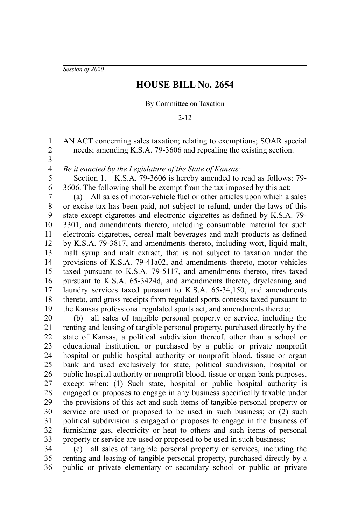*Session of 2020*

## **HOUSE BILL No. 2654**

By Committee on Taxation

2-12

AN ACT concerning sales taxation; relating to exemptions; SOAR special needs; amending K.S.A. 79-3606 and repealing the existing section. 1 2

3

*Be it enacted by the Legislature of the State of Kansas:* 4

Section 1. K.S.A. 79-3606 is hereby amended to read as follows: 79- 3606. The following shall be exempt from the tax imposed by this act: 5 6

(a) All sales of motor-vehicle fuel or other articles upon which a sales or excise tax has been paid, not subject to refund, under the laws of this state except cigarettes and electronic cigarettes as defined by K.S.A. 79- 3301, and amendments thereto, including consumable material for such electronic cigarettes, cereal malt beverages and malt products as defined by K.S.A. 79-3817, and amendments thereto, including wort, liquid malt, malt syrup and malt extract, that is not subject to taxation under the provisions of K.S.A. 79-41a02, and amendments thereto, motor vehicles taxed pursuant to K.S.A. 79-5117, and amendments thereto, tires taxed pursuant to K.S.A. 65-3424d, and amendments thereto, drycleaning and laundry services taxed pursuant to K.S.A. 65-34,150, and amendments thereto, and gross receipts from regulated sports contests taxed pursuant to the Kansas professional regulated sports act, and amendments thereto; 7 8 9 10 11 12 13 14 15 16 17 18 19

(b) all sales of tangible personal property or service, including the renting and leasing of tangible personal property, purchased directly by the state of Kansas, a political subdivision thereof, other than a school or educational institution, or purchased by a public or private nonprofit hospital or public hospital authority or nonprofit blood, tissue or organ bank and used exclusively for state, political subdivision, hospital or public hospital authority or nonprofit blood, tissue or organ bank purposes, except when: (1) Such state, hospital or public hospital authority is engaged or proposes to engage in any business specifically taxable under the provisions of this act and such items of tangible personal property or service are used or proposed to be used in such business; or (2) such political subdivision is engaged or proposes to engage in the business of furnishing gas, electricity or heat to others and such items of personal property or service are used or proposed to be used in such business; 20 21 22 23 24 25 26 27 28 29 30 31 32 33

(c) all sales of tangible personal property or services, including the renting and leasing of tangible personal property, purchased directly by a public or private elementary or secondary school or public or private 34 35 36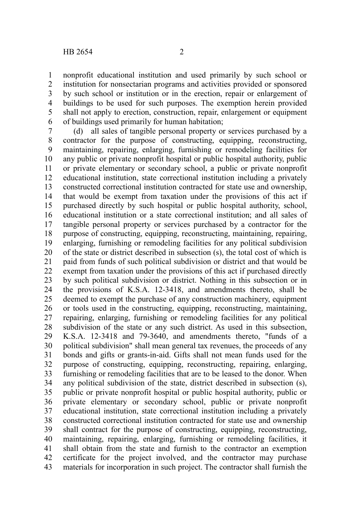nonprofit educational institution and used primarily by such school or institution for nonsectarian programs and activities provided or sponsored by such school or institution or in the erection, repair or enlargement of buildings to be used for such purposes. The exemption herein provided shall not apply to erection, construction, repair, enlargement or equipment of buildings used primarily for human habitation; 1 2 3 4 5 6

(d) all sales of tangible personal property or services purchased by a contractor for the purpose of constructing, equipping, reconstructing, maintaining, repairing, enlarging, furnishing or remodeling facilities for any public or private nonprofit hospital or public hospital authority, public or private elementary or secondary school, a public or private nonprofit educational institution, state correctional institution including a privately constructed correctional institution contracted for state use and ownership, that would be exempt from taxation under the provisions of this act if purchased directly by such hospital or public hospital authority, school, educational institution or a state correctional institution; and all sales of tangible personal property or services purchased by a contractor for the purpose of constructing, equipping, reconstructing, maintaining, repairing, enlarging, furnishing or remodeling facilities for any political subdivision of the state or district described in subsection (s), the total cost of which is paid from funds of such political subdivision or district and that would be exempt from taxation under the provisions of this act if purchased directly by such political subdivision or district. Nothing in this subsection or in the provisions of K.S.A. 12-3418, and amendments thereto, shall be deemed to exempt the purchase of any construction machinery, equipment or tools used in the constructing, equipping, reconstructing, maintaining, repairing, enlarging, furnishing or remodeling facilities for any political subdivision of the state or any such district. As used in this subsection, K.S.A. 12-3418 and 79-3640, and amendments thereto, "funds of a political subdivision" shall mean general tax revenues, the proceeds of any bonds and gifts or grants-in-aid. Gifts shall not mean funds used for the purpose of constructing, equipping, reconstructing, repairing, enlarging, furnishing or remodeling facilities that are to be leased to the donor. When any political subdivision of the state, district described in subsection (s), public or private nonprofit hospital or public hospital authority, public or private elementary or secondary school, public or private nonprofit educational institution, state correctional institution including a privately constructed correctional institution contracted for state use and ownership shall contract for the purpose of constructing, equipping, reconstructing, maintaining, repairing, enlarging, furnishing or remodeling facilities, it shall obtain from the state and furnish to the contractor an exemption certificate for the project involved, and the contractor may purchase materials for incorporation in such project. The contractor shall furnish the 7 8 9 10 11 12 13 14 15 16 17 18 19 20 21 22 23 24 25 26 27 28 29 30 31 32 33 34 35 36 37 38 39 40 41 42 43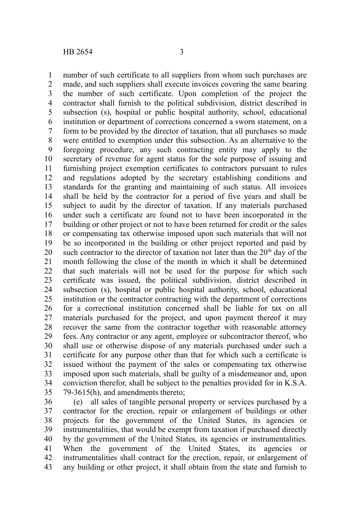number of such certificate to all suppliers from whom such purchases are made, and such suppliers shall execute invoices covering the same bearing the number of such certificate. Upon completion of the project the contractor shall furnish to the political subdivision, district described in subsection (s), hospital or public hospital authority, school, educational institution or department of corrections concerned a sworn statement, on a form to be provided by the director of taxation, that all purchases so made were entitled to exemption under this subsection. As an alternative to the foregoing procedure, any such contracting entity may apply to the secretary of revenue for agent status for the sole purpose of issuing and furnishing project exemption certificates to contractors pursuant to rules and regulations adopted by the secretary establishing conditions and standards for the granting and maintaining of such status. All invoices shall be held by the contractor for a period of five years and shall be subject to audit by the director of taxation. If any materials purchased under such a certificate are found not to have been incorporated in the building or other project or not to have been returned for credit or the sales or compensating tax otherwise imposed upon such materials that will not be so incorporated in the building or other project reported and paid by such contractor to the director of taxation not later than the  $20<sup>th</sup>$  day of the month following the close of the month in which it shall be determined that such materials will not be used for the purpose for which such certificate was issued, the political subdivision, district described in subsection (s), hospital or public hospital authority, school, educational institution or the contractor contracting with the department of corrections for a correctional institution concerned shall be liable for tax on all materials purchased for the project, and upon payment thereof it may recover the same from the contractor together with reasonable attorney fees. Any contractor or any agent, employee or subcontractor thereof, who shall use or otherwise dispose of any materials purchased under such a certificate for any purpose other than that for which such a certificate is issued without the payment of the sales or compensating tax otherwise imposed upon such materials, shall be guilty of a misdemeanor and, upon conviction therefor, shall be subject to the penalties provided for in K.S.A. 79-3615(h), and amendments thereto; 1 2 3 4 5 6 7 8 9 10 11 12 13 14 15 16 17 18 19 20 21 22 23 24 25 26 27 28 29 30 31 32 33 34 35

(e) all sales of tangible personal property or services purchased by a contractor for the erection, repair or enlargement of buildings or other projects for the government of the United States, its agencies or instrumentalities, that would be exempt from taxation if purchased directly by the government of the United States, its agencies or instrumentalities. When the government of the United States, its agencies or instrumentalities shall contract for the erection, repair, or enlargement of any building or other project, it shall obtain from the state and furnish to 36 37 38 39 40 41 42 43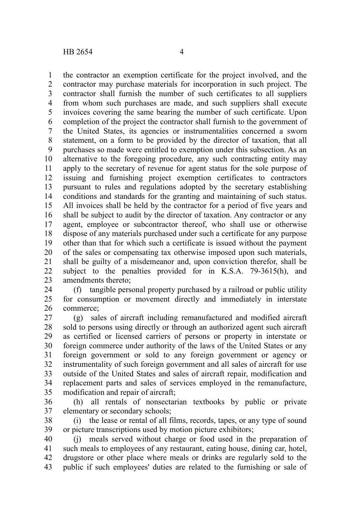the contractor an exemption certificate for the project involved, and the contractor may purchase materials for incorporation in such project. The contractor shall furnish the number of such certificates to all suppliers from whom such purchases are made, and such suppliers shall execute invoices covering the same bearing the number of such certificate. Upon completion of the project the contractor shall furnish to the government of the United States, its agencies or instrumentalities concerned a sworn statement, on a form to be provided by the director of taxation, that all purchases so made were entitled to exemption under this subsection. As an alternative to the foregoing procedure, any such contracting entity may apply to the secretary of revenue for agent status for the sole purpose of issuing and furnishing project exemption certificates to contractors pursuant to rules and regulations adopted by the secretary establishing conditions and standards for the granting and maintaining of such status. All invoices shall be held by the contractor for a period of five years and shall be subject to audit by the director of taxation. Any contractor or any agent, employee or subcontractor thereof, who shall use or otherwise dispose of any materials purchased under such a certificate for any purpose other than that for which such a certificate is issued without the payment of the sales or compensating tax otherwise imposed upon such materials, shall be guilty of a misdemeanor and, upon conviction therefor, shall be subject to the penalties provided for in K.S.A. 79-3615(h), and amendments thereto; 1 2 3 4 5 6 7 8 9 10 11 12 13 14 15 16 17 18 19 20 21 22 23

(f) tangible personal property purchased by a railroad or public utility for consumption or movement directly and immediately in interstate commerce; 24 25 26

(g) sales of aircraft including remanufactured and modified aircraft sold to persons using directly or through an authorized agent such aircraft as certified or licensed carriers of persons or property in interstate or foreign commerce under authority of the laws of the United States or any foreign government or sold to any foreign government or agency or instrumentality of such foreign government and all sales of aircraft for use outside of the United States and sales of aircraft repair, modification and replacement parts and sales of services employed in the remanufacture, modification and repair of aircraft; 27 28 29 30 31 32 33 34 35

(h) all rentals of nonsectarian textbooks by public or private elementary or secondary schools; 36 37

(i) the lease or rental of all films, records, tapes, or any type of sound or picture transcriptions used by motion picture exhibitors; 38 39

(j) meals served without charge or food used in the preparation of such meals to employees of any restaurant, eating house, dining car, hotel, drugstore or other place where meals or drinks are regularly sold to the public if such employees' duties are related to the furnishing or sale of 40 41 42 43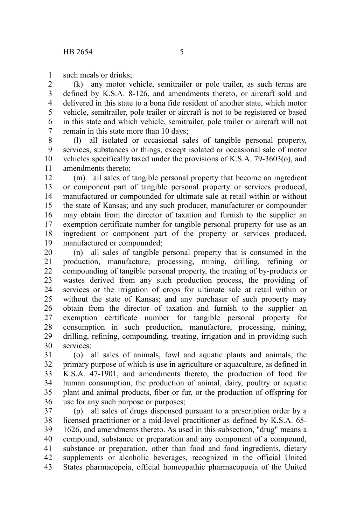such meals or drinks; 1

(k) any motor vehicle, semitrailer or pole trailer, as such terms are defined by K.S.A. 8-126, and amendments thereto, or aircraft sold and delivered in this state to a bona fide resident of another state, which motor vehicle, semitrailer, pole trailer or aircraft is not to be registered or based in this state and which vehicle, semitrailer, pole trailer or aircraft will not remain in this state more than 10 days; 2 3 4 5 6 7

(l) all isolated or occasional sales of tangible personal property, services, substances or things, except isolated or occasional sale of motor vehicles specifically taxed under the provisions of K.S.A. 79-3603(o), and amendments thereto; 8 9 10 11

(m) all sales of tangible personal property that become an ingredient or component part of tangible personal property or services produced, manufactured or compounded for ultimate sale at retail within or without the state of Kansas; and any such producer, manufacturer or compounder may obtain from the director of taxation and furnish to the supplier an exemption certificate number for tangible personal property for use as an ingredient or component part of the property or services produced, manufactured or compounded; 12 13 14 15 16 17 18 19

(n) all sales of tangible personal property that is consumed in the production, manufacture, processing, mining, drilling, refining or compounding of tangible personal property, the treating of by-products or wastes derived from any such production process, the providing of services or the irrigation of crops for ultimate sale at retail within or without the state of Kansas; and any purchaser of such property may obtain from the director of taxation and furnish to the supplier an exemption certificate number for tangible personal property for consumption in such production, manufacture, processing, mining, drilling, refining, compounding, treating, irrigation and in providing such services<sup>.</sup> 20 21 22 23 24 25 26 27 28 29 30

(o) all sales of animals, fowl and aquatic plants and animals, the primary purpose of which is use in agriculture or aquaculture, as defined in K.S.A. 47-1901, and amendments thereto, the production of food for human consumption, the production of animal, dairy, poultry or aquatic plant and animal products, fiber or fur, or the production of offspring for use for any such purpose or purposes; 31 32 33 34 35 36

(p) all sales of drugs dispensed pursuant to a prescription order by a licensed practitioner or a mid-level practitioner as defined by K.S.A. 65- 1626, and amendments thereto. As used in this subsection, "drug" means a compound, substance or preparation and any component of a compound, substance or preparation, other than food and food ingredients, dietary supplements or alcoholic beverages, recognized in the official United States pharmacopeia, official homeopathic pharmacopoeia of the United 37 38 39 40 41 42 43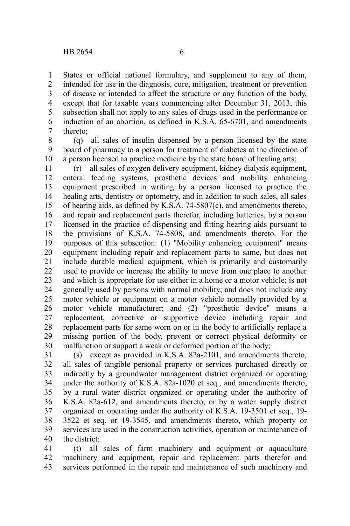States or official national formulary, and supplement to any of them, intended for use in the diagnosis, cure, mitigation, treatment or prevention of disease or intended to affect the structure or any function of the body, except that for taxable years commencing after December 31, 2013, this subsection shall not apply to any sales of drugs used in the performance or induction of an abortion, as defined in K.S.A. 65-6701, and amendments thereto; 1 2 3 4 5 6 7

(q) all sales of insulin dispensed by a person licensed by the state board of pharmacy to a person for treatment of diabetes at the direction of a person licensed to practice medicine by the state board of healing arts; 8 9 10

(r) all sales of oxygen delivery equipment, kidney dialysis equipment, enteral feeding systems, prosthetic devices and mobility enhancing equipment prescribed in writing by a person licensed to practice the healing arts, dentistry or optometry, and in addition to such sales, all sales of hearing aids, as defined by K.S.A. 74-5807(c), and amendments thereto, and repair and replacement parts therefor, including batteries, by a person licensed in the practice of dispensing and fitting hearing aids pursuant to the provisions of K.S.A. 74-5808, and amendments thereto. For the purposes of this subsection: (1) "Mobility enhancing equipment" means equipment including repair and replacement parts to same, but does not include durable medical equipment, which is primarily and customarily used to provide or increase the ability to move from one place to another and which is appropriate for use either in a home or a motor vehicle; is not generally used by persons with normal mobility; and does not include any motor vehicle or equipment on a motor vehicle normally provided by a motor vehicle manufacturer; and (2) "prosthetic device" means a replacement, corrective or supportive device including repair and replacement parts for same worn on or in the body to artificially replace a missing portion of the body, prevent or correct physical deformity or malfunction or support a weak or deformed portion of the body; 11 12 13 14 15 16 17 18 19 20 21 22 23 24 25 26 27 28 29 30

(s) except as provided in K.S.A. 82a-2101, and amendments thereto, all sales of tangible personal property or services purchased directly or indirectly by a groundwater management district organized or operating under the authority of K.S.A. 82a-1020 et seq., and amendments thereto, by a rural water district organized or operating under the authority of K.S.A. 82a-612, and amendments thereto, or by a water supply district organized or operating under the authority of K.S.A. 19-3501 et seq., 19- 3522 et seq. or 19-3545, and amendments thereto, which property or services are used in the construction activities, operation or maintenance of the district; 31 32 33 34 35 36 37 38 39 40

(t) all sales of farm machinery and equipment or aquaculture machinery and equipment, repair and replacement parts therefor and services performed in the repair and maintenance of such machinery and 41 42 43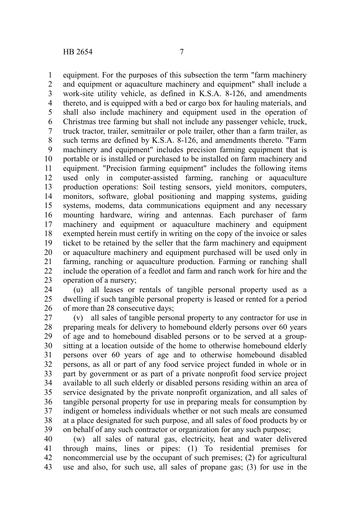equipment. For the purposes of this subsection the term "farm machinery and equipment or aquaculture machinery and equipment" shall include a work-site utility vehicle, as defined in K.S.A. 8-126, and amendments thereto, and is equipped with a bed or cargo box for hauling materials, and shall also include machinery and equipment used in the operation of Christmas tree farming but shall not include any passenger vehicle, truck, truck tractor, trailer, semitrailer or pole trailer, other than a farm trailer, as such terms are defined by K.S.A. 8-126, and amendments thereto. "Farm machinery and equipment" includes precision farming equipment that is portable or is installed or purchased to be installed on farm machinery and equipment. "Precision farming equipment" includes the following items used only in computer-assisted farming, ranching or aquaculture production operations: Soil testing sensors, yield monitors, computers, monitors, software, global positioning and mapping systems, guiding systems, modems, data communications equipment and any necessary mounting hardware, wiring and antennas. Each purchaser of farm machinery and equipment or aquaculture machinery and equipment exempted herein must certify in writing on the copy of the invoice or sales ticket to be retained by the seller that the farm machinery and equipment or aquaculture machinery and equipment purchased will be used only in farming, ranching or aquaculture production. Farming or ranching shall include the operation of a feedlot and farm and ranch work for hire and the operation of a nursery; 1 2 3 4 5 6 7 8 9 10 11 12 13 14 15 16 17 18 19 20 21 22 23

(u) all leases or rentals of tangible personal property used as a dwelling if such tangible personal property is leased or rented for a period of more than 28 consecutive days; 24 25 26

(v) all sales of tangible personal property to any contractor for use in preparing meals for delivery to homebound elderly persons over 60 years of age and to homebound disabled persons or to be served at a groupsitting at a location outside of the home to otherwise homebound elderly persons over 60 years of age and to otherwise homebound disabled persons, as all or part of any food service project funded in whole or in part by government or as part of a private nonprofit food service project available to all such elderly or disabled persons residing within an area of service designated by the private nonprofit organization, and all sales of tangible personal property for use in preparing meals for consumption by indigent or homeless individuals whether or not such meals are consumed at a place designated for such purpose, and all sales of food products by or on behalf of any such contractor or organization for any such purpose; 27 28 29 30 31 32 33 34 35 36 37 38 39

(w) all sales of natural gas, electricity, heat and water delivered through mains, lines or pipes: (1) To residential premises for noncommercial use by the occupant of such premises; (2) for agricultural use and also, for such use, all sales of propane gas; (3) for use in the 40 41 42 43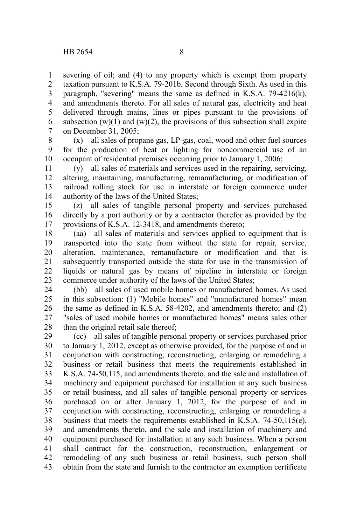severing of oil; and (4) to any property which is exempt from property taxation pursuant to K.S.A. 79-201b, Second through Sixth. As used in this paragraph, "severing" means the same as defined in K.S.A. 79-4216(k), and amendments thereto. For all sales of natural gas, electricity and heat delivered through mains, lines or pipes pursuant to the provisions of subsection  $(w)(1)$  and  $(w)(2)$ , the provisions of this subsection shall expire on December 31, 2005; 1 2 3 4 5 6 7

(x) all sales of propane gas, LP-gas, coal, wood and other fuel sources for the production of heat or lighting for noncommercial use of an occupant of residential premises occurring prior to January 1, 2006; 8 9 10

(y) all sales of materials and services used in the repairing, servicing, altering, maintaining, manufacturing, remanufacturing, or modification of railroad rolling stock for use in interstate or foreign commerce under authority of the laws of the United States; 11 12 13 14

(z) all sales of tangible personal property and services purchased directly by a port authority or by a contractor therefor as provided by the provisions of K.S.A. 12-3418, and amendments thereto; 15 16 17

(aa) all sales of materials and services applied to equipment that is transported into the state from without the state for repair, service, alteration, maintenance, remanufacture or modification and that is subsequently transported outside the state for use in the transmission of liquids or natural gas by means of pipeline in interstate or foreign commerce under authority of the laws of the United States; 18 19 20 21 22 23

(bb) all sales of used mobile homes or manufactured homes. As used in this subsection: (1) "Mobile homes" and "manufactured homes" mean the same as defined in K.S.A. 58-4202, and amendments thereto; and (2) "sales of used mobile homes or manufactured homes" means sales other than the original retail sale thereof; 24 25 26 27 28

(cc) all sales of tangible personal property or services purchased prior to January 1, 2012, except as otherwise provided, for the purpose of and in conjunction with constructing, reconstructing, enlarging or remodeling a business or retail business that meets the requirements established in K.S.A. 74-50,115, and amendments thereto, and the sale and installation of machinery and equipment purchased for installation at any such business or retail business, and all sales of tangible personal property or services purchased on or after January 1, 2012, for the purpose of and in conjunction with constructing, reconstructing, enlarging or remodeling a business that meets the requirements established in K.S.A. 74-50,115(e), and amendments thereto, and the sale and installation of machinery and equipment purchased for installation at any such business. When a person shall contract for the construction, reconstruction, enlargement or remodeling of any such business or retail business, such person shall obtain from the state and furnish to the contractor an exemption certificate 29 30 31 32 33 34 35 36 37 38 39 40 41 42 43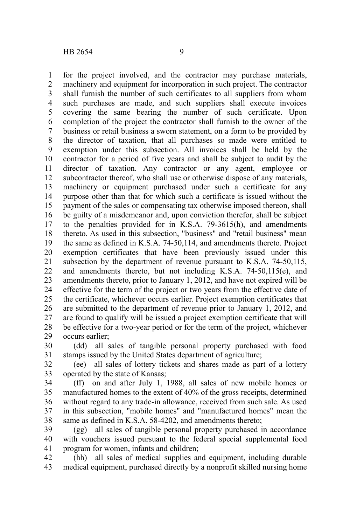for the project involved, and the contractor may purchase materials, machinery and equipment for incorporation in such project. The contractor shall furnish the number of such certificates to all suppliers from whom such purchases are made, and such suppliers shall execute invoices covering the same bearing the number of such certificate. Upon completion of the project the contractor shall furnish to the owner of the business or retail business a sworn statement, on a form to be provided by the director of taxation, that all purchases so made were entitled to exemption under this subsection. All invoices shall be held by the contractor for a period of five years and shall be subject to audit by the director of taxation. Any contractor or any agent, employee or subcontractor thereof, who shall use or otherwise dispose of any materials, machinery or equipment purchased under such a certificate for any purpose other than that for which such a certificate is issued without the payment of the sales or compensating tax otherwise imposed thereon, shall be guilty of a misdemeanor and, upon conviction therefor, shall be subject to the penalties provided for in K.S.A. 79-3615(h), and amendments thereto. As used in this subsection, "business" and "retail business" mean the same as defined in K.S.A. 74-50,114, and amendments thereto. Project exemption certificates that have been previously issued under this subsection by the department of revenue pursuant to K.S.A. 74-50,115, and amendments thereto, but not including K.S.A. 74-50,115(e), and amendments thereto, prior to January 1, 2012, and have not expired will be effective for the term of the project or two years from the effective date of the certificate, whichever occurs earlier. Project exemption certificates that are submitted to the department of revenue prior to January 1, 2012, and are found to qualify will be issued a project exemption certificate that will be effective for a two-year period or for the term of the project, whichever occurs earlier; 1 2 3 4 5 6 7 8 9 10 11 12 13 14 15 16 17 18 19 20 21 22 23 24 25 26 27 28 29

(dd) all sales of tangible personal property purchased with food stamps issued by the United States department of agriculture; 30 31

(ee) all sales of lottery tickets and shares made as part of a lottery operated by the state of Kansas; 32 33

(ff) on and after July 1, 1988, all sales of new mobile homes or manufactured homes to the extent of 40% of the gross receipts, determined without regard to any trade-in allowance, received from such sale. As used in this subsection, "mobile homes" and "manufactured homes" mean the same as defined in K.S.A. 58-4202, and amendments thereto; 34 35 36 37 38

(gg) all sales of tangible personal property purchased in accordance with vouchers issued pursuant to the federal special supplemental food program for women, infants and children; 39 40 41

(hh) all sales of medical supplies and equipment, including durable medical equipment, purchased directly by a nonprofit skilled nursing home 42 43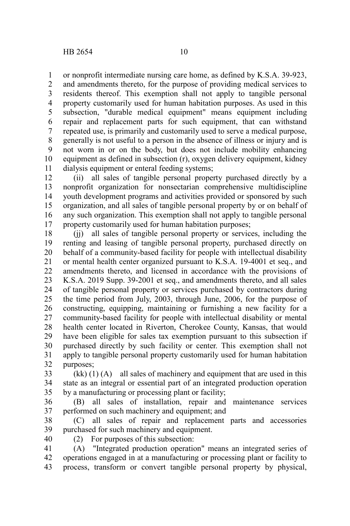or nonprofit intermediate nursing care home, as defined by K.S.A. 39-923, and amendments thereto, for the purpose of providing medical services to residents thereof. This exemption shall not apply to tangible personal property customarily used for human habitation purposes. As used in this subsection, "durable medical equipment" means equipment including repair and replacement parts for such equipment, that can withstand repeated use, is primarily and customarily used to serve a medical purpose, generally is not useful to a person in the absence of illness or injury and is not worn in or on the body, but does not include mobility enhancing equipment as defined in subsection (r), oxygen delivery equipment, kidney dialysis equipment or enteral feeding systems; 1 2 3 4 5 6 7 8 9 10 11

(ii) all sales of tangible personal property purchased directly by a nonprofit organization for nonsectarian comprehensive multidiscipline youth development programs and activities provided or sponsored by such organization, and all sales of tangible personal property by or on behalf of any such organization. This exemption shall not apply to tangible personal property customarily used for human habitation purposes; 12 13 14 15 16 17

(jj) all sales of tangible personal property or services, including the renting and leasing of tangible personal property, purchased directly on behalf of a community-based facility for people with intellectual disability or mental health center organized pursuant to K.S.A. 19-4001 et seq., and amendments thereto, and licensed in accordance with the provisions of K.S.A. 2019 Supp. 39-2001 et seq., and amendments thereto, and all sales of tangible personal property or services purchased by contractors during the time period from July, 2003, through June, 2006, for the purpose of constructing, equipping, maintaining or furnishing a new facility for a community-based facility for people with intellectual disability or mental health center located in Riverton, Cherokee County, Kansas, that would have been eligible for sales tax exemption pursuant to this subsection if purchased directly by such facility or center. This exemption shall not apply to tangible personal property customarily used for human habitation purposes; 18 19 20 21 22 23 24 25 26 27 28 29 30 31 32

 $(kk)$  (1) (A) all sales of machinery and equipment that are used in this state as an integral or essential part of an integrated production operation by a manufacturing or processing plant or facility; 33 34 35

(B) all sales of installation, repair and maintenance services performed on such machinery and equipment; and 36 37

(C) all sales of repair and replacement parts and accessories purchased for such machinery and equipment. 38 39

40

(2) For purposes of this subsection:

(A) "Integrated production operation" means an integrated series of operations engaged in at a manufacturing or processing plant or facility to process, transform or convert tangible personal property by physical, 41 42 43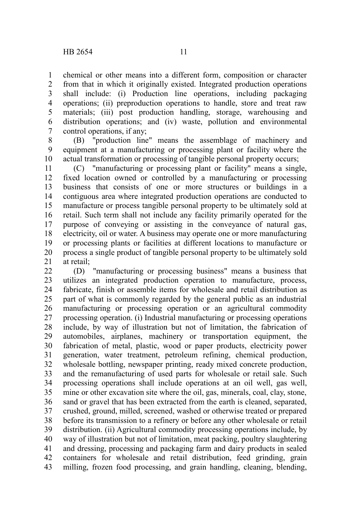chemical or other means into a different form, composition or character from that in which it originally existed. Integrated production operations shall include: (i) Production line operations, including packaging operations; (ii) preproduction operations to handle, store and treat raw materials; (iii) post production handling, storage, warehousing and distribution operations; and (iv) waste, pollution and environmental control operations, if any; 1 2 3 4 5 6 7

(B) "production line" means the assemblage of machinery and equipment at a manufacturing or processing plant or facility where the actual transformation or processing of tangible personal property occurs; 8 9 10

(C) "manufacturing or processing plant or facility" means a single, fixed location owned or controlled by a manufacturing or processing business that consists of one or more structures or buildings in a contiguous area where integrated production operations are conducted to manufacture or process tangible personal property to be ultimately sold at retail. Such term shall not include any facility primarily operated for the purpose of conveying or assisting in the conveyance of natural gas, electricity, oil or water. A business may operate one or more manufacturing or processing plants or facilities at different locations to manufacture or process a single product of tangible personal property to be ultimately sold at retail; 11 12 13 14 15 16 17 18 19 20 21

(D) "manufacturing or processing business" means a business that utilizes an integrated production operation to manufacture, process, fabricate, finish or assemble items for wholesale and retail distribution as part of what is commonly regarded by the general public as an industrial manufacturing or processing operation or an agricultural commodity processing operation. (i) Industrial manufacturing or processing operations include, by way of illustration but not of limitation, the fabrication of automobiles, airplanes, machinery or transportation equipment, the fabrication of metal, plastic, wood or paper products, electricity power generation, water treatment, petroleum refining, chemical production, wholesale bottling, newspaper printing, ready mixed concrete production, and the remanufacturing of used parts for wholesale or retail sale. Such processing operations shall include operations at an oil well, gas well, mine or other excavation site where the oil, gas, minerals, coal, clay, stone, sand or gravel that has been extracted from the earth is cleaned, separated, crushed, ground, milled, screened, washed or otherwise treated or prepared before its transmission to a refinery or before any other wholesale or retail distribution. (ii) Agricultural commodity processing operations include, by way of illustration but not of limitation, meat packing, poultry slaughtering and dressing, processing and packaging farm and dairy products in sealed containers for wholesale and retail distribution, feed grinding, grain milling, frozen food processing, and grain handling, cleaning, blending, 22 23 24 25 26 27 28 29 30 31 32 33 34 35 36 37 38 39 40 41 42 43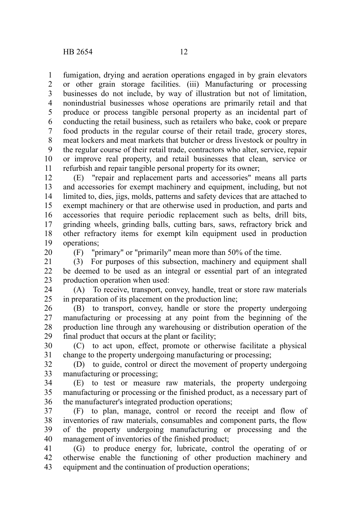fumigation, drying and aeration operations engaged in by grain elevators or other grain storage facilities. (iii) Manufacturing or processing businesses do not include, by way of illustration but not of limitation, nonindustrial businesses whose operations are primarily retail and that produce or process tangible personal property as an incidental part of conducting the retail business, such as retailers who bake, cook or prepare food products in the regular course of their retail trade, grocery stores, meat lockers and meat markets that butcher or dress livestock or poultry in the regular course of their retail trade, contractors who alter, service, repair or improve real property, and retail businesses that clean, service or refurbish and repair tangible personal property for its owner; 1 2 3 4 5 6 7 8 9 10 11

(E) "repair and replacement parts and accessories" means all parts and accessories for exempt machinery and equipment, including, but not limited to, dies, jigs, molds, patterns and safety devices that are attached to exempt machinery or that are otherwise used in production, and parts and accessories that require periodic replacement such as belts, drill bits, grinding wheels, grinding balls, cutting bars, saws, refractory brick and other refractory items for exempt kiln equipment used in production operations; 12 13 14 15 16 17 18 19

20

(F) "primary" or "primarily" mean more than 50% of the time.

(3) For purposes of this subsection, machinery and equipment shall be deemed to be used as an integral or essential part of an integrated production operation when used: 21 22 23

(A) To receive, transport, convey, handle, treat or store raw materials in preparation of its placement on the production line; 24 25

(B) to transport, convey, handle or store the property undergoing manufacturing or processing at any point from the beginning of the production line through any warehousing or distribution operation of the final product that occurs at the plant or facility; 26 27 28 29

(C) to act upon, effect, promote or otherwise facilitate a physical change to the property undergoing manufacturing or processing; 30 31

(D) to guide, control or direct the movement of property undergoing manufacturing or processing; 32 33

(E) to test or measure raw materials, the property undergoing manufacturing or processing or the finished product, as a necessary part of the manufacturer's integrated production operations; 34 35 36

(F) to plan, manage, control or record the receipt and flow of inventories of raw materials, consumables and component parts, the flow of the property undergoing manufacturing or processing and the management of inventories of the finished product; 37 38 39 40

(G) to produce energy for, lubricate, control the operating of or otherwise enable the functioning of other production machinery and equipment and the continuation of production operations; 41 42 43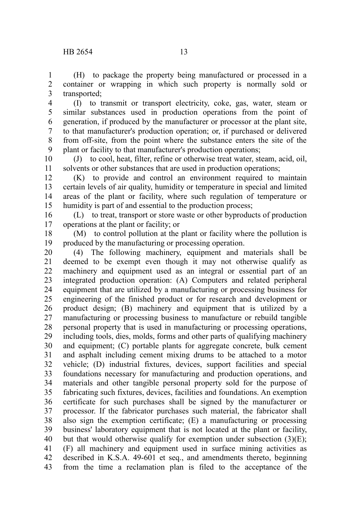(H) to package the property being manufactured or processed in a container or wrapping in which such property is normally sold or transported; 1 2 3

(I) to transmit or transport electricity, coke, gas, water, steam or similar substances used in production operations from the point of generation, if produced by the manufacturer or processor at the plant site, to that manufacturer's production operation; or, if purchased or delivered from off-site, from the point where the substance enters the site of the plant or facility to that manufacturer's production operations; 4 5 6 7 8 9

(J) to cool, heat, filter, refine or otherwise treat water, steam, acid, oil, solvents or other substances that are used in production operations; 10 11

(K) to provide and control an environment required to maintain certain levels of air quality, humidity or temperature in special and limited areas of the plant or facility, where such regulation of temperature or humidity is part of and essential to the production process; 12 13 14 15

(L) to treat, transport or store waste or other byproducts of production operations at the plant or facility; or 16 17

(M) to control pollution at the plant or facility where the pollution is produced by the manufacturing or processing operation. 18 19

(4) The following machinery, equipment and materials shall be deemed to be exempt even though it may not otherwise qualify as machinery and equipment used as an integral or essential part of an integrated production operation: (A) Computers and related peripheral equipment that are utilized by a manufacturing or processing business for engineering of the finished product or for research and development or product design; (B) machinery and equipment that is utilized by a manufacturing or processing business to manufacture or rebuild tangible personal property that is used in manufacturing or processing operations, including tools, dies, molds, forms and other parts of qualifying machinery and equipment; (C) portable plants for aggregate concrete, bulk cement and asphalt including cement mixing drums to be attached to a motor vehicle; (D) industrial fixtures, devices, support facilities and special foundations necessary for manufacturing and production operations, and materials and other tangible personal property sold for the purpose of fabricating such fixtures, devices, facilities and foundations. An exemption certificate for such purchases shall be signed by the manufacturer or processor. If the fabricator purchases such material, the fabricator shall also sign the exemption certificate; (E) a manufacturing or processing business' laboratory equipment that is not located at the plant or facility, but that would otherwise qualify for exemption under subsection  $(3)(E)$ ; (F) all machinery and equipment used in surface mining activities as described in K.S.A. 49-601 et seq., and amendments thereto, beginning from the time a reclamation plan is filed to the acceptance of the 20 21 22 23 24 25 26 27 28 29 30 31 32 33 34 35 36 37 38 39 40 41 42 43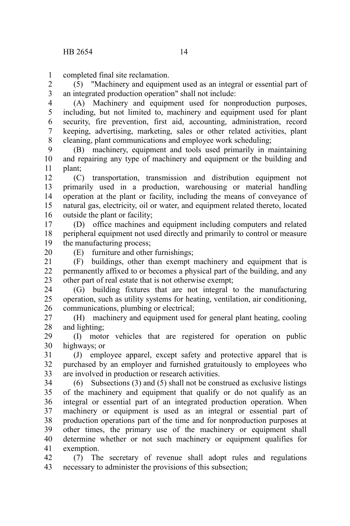completed final site reclamation. 1

(5) "Machinery and equipment used as an integral or essential part of an integrated production operation" shall not include: 2 3

(A) Machinery and equipment used for nonproduction purposes, including, but not limited to, machinery and equipment used for plant security, fire prevention, first aid, accounting, administration, record keeping, advertising, marketing, sales or other related activities, plant cleaning, plant communications and employee work scheduling; 4 5 6 7 8

(B) machinery, equipment and tools used primarily in maintaining and repairing any type of machinery and equipment or the building and plant; 9 10 11

(C) transportation, transmission and distribution equipment not primarily used in a production, warehousing or material handling operation at the plant or facility, including the means of conveyance of natural gas, electricity, oil or water, and equipment related thereto, located outside the plant or facility; 12 13 14 15 16

(D) office machines and equipment including computers and related peripheral equipment not used directly and primarily to control or measure the manufacturing process; 17 18 19

20

(E) furniture and other furnishings;

(F) buildings, other than exempt machinery and equipment that is permanently affixed to or becomes a physical part of the building, and any other part of real estate that is not otherwise exempt; 21 22 23

(G) building fixtures that are not integral to the manufacturing operation, such as utility systems for heating, ventilation, air conditioning, communications, plumbing or electrical; 24 25 26

(H) machinery and equipment used for general plant heating, cooling and lighting; 27 28

(I) motor vehicles that are registered for operation on public highways; or 29 30

(J) employee apparel, except safety and protective apparel that is purchased by an employer and furnished gratuitously to employees who are involved in production or research activities. 31 32 33

(6) Subsections (3) and (5) shall not be construed as exclusive listings of the machinery and equipment that qualify or do not qualify as an integral or essential part of an integrated production operation. When machinery or equipment is used as an integral or essential part of production operations part of the time and for nonproduction purposes at other times, the primary use of the machinery or equipment shall determine whether or not such machinery or equipment qualifies for exemption. 34 35 36 37 38 39 40 41

(7) The secretary of revenue shall adopt rules and regulations necessary to administer the provisions of this subsection; 42 43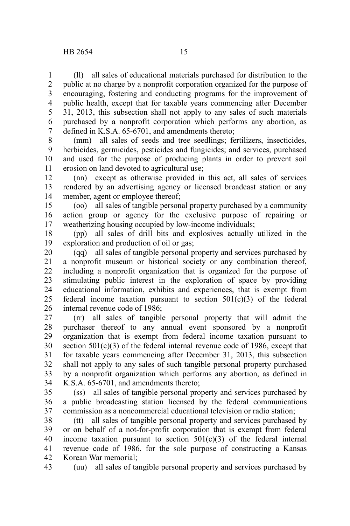(ll) all sales of educational materials purchased for distribution to the public at no charge by a nonprofit corporation organized for the purpose of encouraging, fostering and conducting programs for the improvement of public health, except that for taxable years commencing after December 31, 2013, this subsection shall not apply to any sales of such materials purchased by a nonprofit corporation which performs any abortion, as defined in K.S.A. 65-6701, and amendments thereto; 1 2 3 4 5 6 7

(mm) all sales of seeds and tree seedlings; fertilizers, insecticides, herbicides, germicides, pesticides and fungicides; and services, purchased and used for the purpose of producing plants in order to prevent soil erosion on land devoted to agricultural use; 8 9 10 11

(nn) except as otherwise provided in this act, all sales of services rendered by an advertising agency or licensed broadcast station or any member, agent or employee thereof; 12 13 14

(oo) all sales of tangible personal property purchased by a community action group or agency for the exclusive purpose of repairing or weatherizing housing occupied by low-income individuals; 15 16 17

(pp) all sales of drill bits and explosives actually utilized in the exploration and production of oil or gas; 18 19

(qq) all sales of tangible personal property and services purchased by a nonprofit museum or historical society or any combination thereof, including a nonprofit organization that is organized for the purpose of stimulating public interest in the exploration of space by providing educational information, exhibits and experiences, that is exempt from federal income taxation pursuant to section 501(c)(3) of the federal internal revenue code of 1986; 20 21 22 23 24 25 26

(rr) all sales of tangible personal property that will admit the purchaser thereof to any annual event sponsored by a nonprofit organization that is exempt from federal income taxation pursuant to section  $501(c)(3)$  of the federal internal revenue code of 1986, except that for taxable years commencing after December 31, 2013, this subsection shall not apply to any sales of such tangible personal property purchased by a nonprofit organization which performs any abortion, as defined in K.S.A. 65-6701, and amendments thereto; 27 28 29 30 31 32 33 34

(ss) all sales of tangible personal property and services purchased by a public broadcasting station licensed by the federal communications commission as a noncommercial educational television or radio station; 35 36 37

(tt) all sales of tangible personal property and services purchased by or on behalf of a not-for-profit corporation that is exempt from federal income taxation pursuant to section  $501(c)(3)$  of the federal internal revenue code of 1986, for the sole purpose of constructing a Kansas Korean War memorial; 38 39 40 41 42

(uu) all sales of tangible personal property and services purchased by 43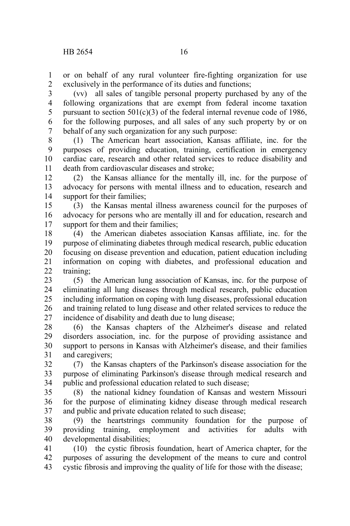or on behalf of any rural volunteer fire-fighting organization for use exclusively in the performance of its duties and functions; 1 2

(vv) all sales of tangible personal property purchased by any of the following organizations that are exempt from federal income taxation pursuant to section  $501(c)(3)$  of the federal internal revenue code of 1986, for the following purposes, and all sales of any such property by or on behalf of any such organization for any such purpose: 3 4 5 6 7

(1) The American heart association, Kansas affiliate, inc. for the purposes of providing education, training, certification in emergency cardiac care, research and other related services to reduce disability and death from cardiovascular diseases and stroke; 8 9 10 11

(2) the Kansas alliance for the mentally ill, inc. for the purpose of advocacy for persons with mental illness and to education, research and support for their families; 12 13 14

(3) the Kansas mental illness awareness council for the purposes of advocacy for persons who are mentally ill and for education, research and support for them and their families: 15 16 17

(4) the American diabetes association Kansas affiliate, inc. for the purpose of eliminating diabetes through medical research, public education focusing on disease prevention and education, patient education including information on coping with diabetes, and professional education and training; 18 19 20 21  $22$ 

(5) the American lung association of Kansas, inc. for the purpose of eliminating all lung diseases through medical research, public education including information on coping with lung diseases, professional education and training related to lung disease and other related services to reduce the incidence of disability and death due to lung disease; 23 24 25 26 27

(6) the Kansas chapters of the Alzheimer's disease and related disorders association, inc. for the purpose of providing assistance and support to persons in Kansas with Alzheimer's disease, and their families and caregivers; 28 29 30 31

(7) the Kansas chapters of the Parkinson's disease association for the purpose of eliminating Parkinson's disease through medical research and public and professional education related to such disease; 32 33 34

(8) the national kidney foundation of Kansas and western Missouri for the purpose of eliminating kidney disease through medical research and public and private education related to such disease; 35 36 37

(9) the heartstrings community foundation for the purpose of providing training, employment and activities for adults with developmental disabilities; 38 39 40

(10) the cystic fibrosis foundation, heart of America chapter, for the purposes of assuring the development of the means to cure and control cystic fibrosis and improving the quality of life for those with the disease; 41 42 43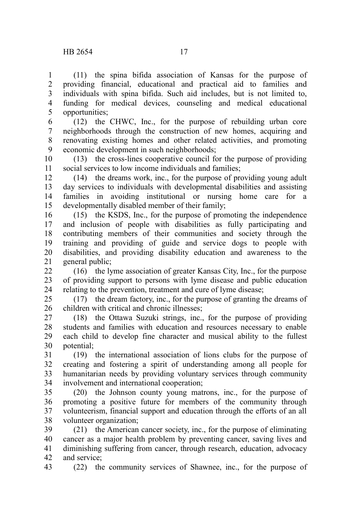(11) the spina bifida association of Kansas for the purpose of providing financial, educational and practical aid to families and individuals with spina bifida. Such aid includes, but is not limited to, funding for medical devices, counseling and medical educational opportunities; 1 2 3 4 5

6 7

(12) the CHWC, Inc., for the purpose of rebuilding urban core neighborhoods through the construction of new homes, acquiring and renovating existing homes and other related activities, and promoting economic development in such neighborhoods; 8 9

(13) the cross-lines cooperative council for the purpose of providing social services to low income individuals and families; 10 11

(14) the dreams work, inc., for the purpose of providing young adult day services to individuals with developmental disabilities and assisting families in avoiding institutional or nursing home care for a developmentally disabled member of their family; 12 13 14 15

(15) the KSDS, Inc., for the purpose of promoting the independence and inclusion of people with disabilities as fully participating and contributing members of their communities and society through the training and providing of guide and service dogs to people with disabilities, and providing disability education and awareness to the general public; 16 17 18 19 20 21

(16) the lyme association of greater Kansas City, Inc., for the purpose of providing support to persons with lyme disease and public education relating to the prevention, treatment and cure of lyme disease; 22 23 24

(17) the dream factory, inc., for the purpose of granting the dreams of children with critical and chronic illnesses; 25 26

(18) the Ottawa Suzuki strings, inc., for the purpose of providing students and families with education and resources necessary to enable each child to develop fine character and musical ability to the fullest potential; 27 28 29 30

(19) the international association of lions clubs for the purpose of creating and fostering a spirit of understanding among all people for humanitarian needs by providing voluntary services through community involvement and international cooperation; 31 32 33 34

(20) the Johnson county young matrons, inc., for the purpose of promoting a positive future for members of the community through volunteerism, financial support and education through the efforts of an all volunteer organization; 35 36 37 38

(21) the American cancer society, inc., for the purpose of eliminating cancer as a major health problem by preventing cancer, saving lives and diminishing suffering from cancer, through research, education, advocacy and service; 39 40 41 42

(22) the community services of Shawnee, inc., for the purpose of 43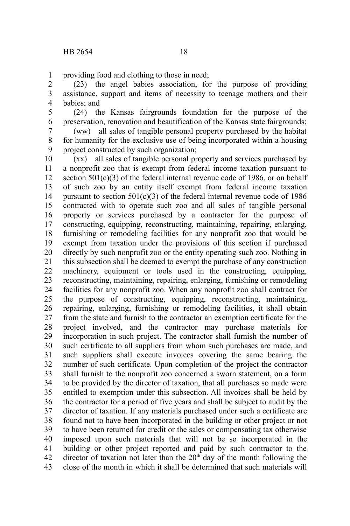providing food and clothing to those in need; 1

(23) the angel babies association, for the purpose of providing assistance, support and items of necessity to teenage mothers and their babies; and 2 3 4

(24) the Kansas fairgrounds foundation for the purpose of the preservation, renovation and beautification of the Kansas state fairgrounds; 5 6

(ww) all sales of tangible personal property purchased by the habitat for humanity for the exclusive use of being incorporated within a housing project constructed by such organization; 7 8 9

(xx) all sales of tangible personal property and services purchased by a nonprofit zoo that is exempt from federal income taxation pursuant to section  $501(c)(3)$  of the federal internal revenue code of 1986, or on behalf of such zoo by an entity itself exempt from federal income taxation pursuant to section  $501(c)(3)$  of the federal internal revenue code of 1986 contracted with to operate such zoo and all sales of tangible personal property or services purchased by a contractor for the purpose of constructing, equipping, reconstructing, maintaining, repairing, enlarging, furnishing or remodeling facilities for any nonprofit zoo that would be exempt from taxation under the provisions of this section if purchased directly by such nonprofit zoo or the entity operating such zoo. Nothing in this subsection shall be deemed to exempt the purchase of any construction machinery, equipment or tools used in the constructing, equipping, reconstructing, maintaining, repairing, enlarging, furnishing or remodeling facilities for any nonprofit zoo. When any nonprofit zoo shall contract for the purpose of constructing, equipping, reconstructing, maintaining, repairing, enlarging, furnishing or remodeling facilities, it shall obtain from the state and furnish to the contractor an exemption certificate for the project involved, and the contractor may purchase materials for incorporation in such project. The contractor shall furnish the number of such certificate to all suppliers from whom such purchases are made, and such suppliers shall execute invoices covering the same bearing the number of such certificate. Upon completion of the project the contractor shall furnish to the nonprofit zoo concerned a sworn statement, on a form to be provided by the director of taxation, that all purchases so made were entitled to exemption under this subsection. All invoices shall be held by the contractor for a period of five years and shall be subject to audit by the director of taxation. If any materials purchased under such a certificate are found not to have been incorporated in the building or other project or not to have been returned for credit or the sales or compensating tax otherwise imposed upon such materials that will not be so incorporated in the building or other project reported and paid by such contractor to the director of taxation not later than the  $20<sup>th</sup>$  day of the month following the close of the month in which it shall be determined that such materials will 10 11 12 13 14 15 16 17 18 19 20 21 22 23 24 25 26 27 28 29 30 31 32 33 34 35 36 37 38 39 40 41 42 43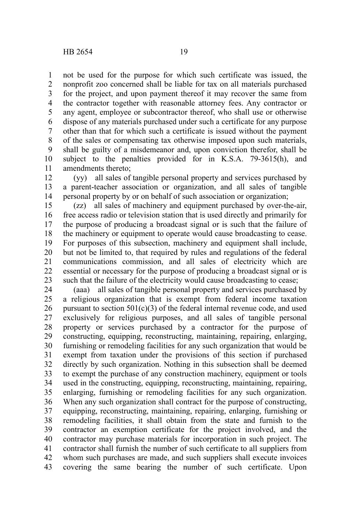not be used for the purpose for which such certificate was issued, the nonprofit zoo concerned shall be liable for tax on all materials purchased for the project, and upon payment thereof it may recover the same from the contractor together with reasonable attorney fees. Any contractor or any agent, employee or subcontractor thereof, who shall use or otherwise dispose of any materials purchased under such a certificate for any purpose other than that for which such a certificate is issued without the payment of the sales or compensating tax otherwise imposed upon such materials, shall be guilty of a misdemeanor and, upon conviction therefor, shall be subject to the penalties provided for in K.S.A. 79-3615(h), and amendments thereto; 1 2 3 4 5 6 7 8 9 10 11

(yy) all sales of tangible personal property and services purchased by a parent-teacher association or organization, and all sales of tangible personal property by or on behalf of such association or organization; 12 13 14

(zz) all sales of machinery and equipment purchased by over-the-air, free access radio or television station that is used directly and primarily for the purpose of producing a broadcast signal or is such that the failure of the machinery or equipment to operate would cause broadcasting to cease. For purposes of this subsection, machinery and equipment shall include, but not be limited to, that required by rules and regulations of the federal communications commission, and all sales of electricity which are essential or necessary for the purpose of producing a broadcast signal or is such that the failure of the electricity would cause broadcasting to cease; 15 16 17 18 19 20 21 22 23

(aaa) all sales of tangible personal property and services purchased by a religious organization that is exempt from federal income taxation pursuant to section  $501(c)(3)$  of the federal internal revenue code, and used exclusively for religious purposes, and all sales of tangible personal property or services purchased by a contractor for the purpose of constructing, equipping, reconstructing, maintaining, repairing, enlarging, furnishing or remodeling facilities for any such organization that would be exempt from taxation under the provisions of this section if purchased directly by such organization. Nothing in this subsection shall be deemed to exempt the purchase of any construction machinery, equipment or tools used in the constructing, equipping, reconstructing, maintaining, repairing, enlarging, furnishing or remodeling facilities for any such organization. When any such organization shall contract for the purpose of constructing, equipping, reconstructing, maintaining, repairing, enlarging, furnishing or remodeling facilities, it shall obtain from the state and furnish to the contractor an exemption certificate for the project involved, and the contractor may purchase materials for incorporation in such project. The contractor shall furnish the number of such certificate to all suppliers from whom such purchases are made, and such suppliers shall execute invoices covering the same bearing the number of such certificate. Upon 24 25 26 27 28 29 30 31 32 33 34 35 36 37 38 39 40 41 42 43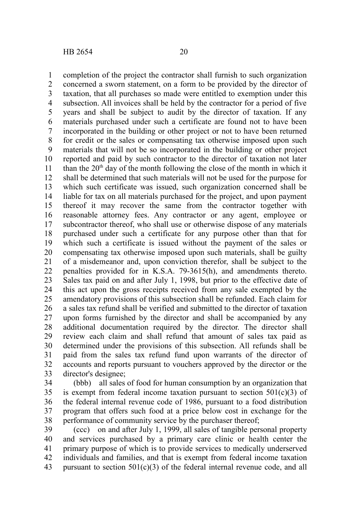completion of the project the contractor shall furnish to such organization concerned a sworn statement, on a form to be provided by the director of taxation, that all purchases so made were entitled to exemption under this subsection. All invoices shall be held by the contractor for a period of five years and shall be subject to audit by the director of taxation. If any materials purchased under such a certificate are found not to have been incorporated in the building or other project or not to have been returned for credit or the sales or compensating tax otherwise imposed upon such materials that will not be so incorporated in the building or other project reported and paid by such contractor to the director of taxation not later than the  $20<sup>th</sup>$  day of the month following the close of the month in which it shall be determined that such materials will not be used for the purpose for which such certificate was issued, such organization concerned shall be liable for tax on all materials purchased for the project, and upon payment thereof it may recover the same from the contractor together with reasonable attorney fees. Any contractor or any agent, employee or subcontractor thereof, who shall use or otherwise dispose of any materials purchased under such a certificate for any purpose other than that for which such a certificate is issued without the payment of the sales or compensating tax otherwise imposed upon such materials, shall be guilty of a misdemeanor and, upon conviction therefor, shall be subject to the penalties provided for in K.S.A. 79-3615(h), and amendments thereto. Sales tax paid on and after July 1, 1998, but prior to the effective date of this act upon the gross receipts received from any sale exempted by the amendatory provisions of this subsection shall be refunded. Each claim for a sales tax refund shall be verified and submitted to the director of taxation upon forms furnished by the director and shall be accompanied by any additional documentation required by the director. The director shall review each claim and shall refund that amount of sales tax paid as determined under the provisions of this subsection. All refunds shall be paid from the sales tax refund fund upon warrants of the director of accounts and reports pursuant to vouchers approved by the director or the director's designee; 1 2 3 4 5 6 7 8 9 10 11 12 13 14 15 16 17 18 19 20 21 22 23 24 25 26 27 28 29 30 31 32 33

(bbb) all sales of food for human consumption by an organization that is exempt from federal income taxation pursuant to section  $501(c)(3)$  of the federal internal revenue code of 1986, pursuant to a food distribution program that offers such food at a price below cost in exchange for the performance of community service by the purchaser thereof; 34 35 36 37 38

(ccc) on and after July 1, 1999, all sales of tangible personal property and services purchased by a primary care clinic or health center the primary purpose of which is to provide services to medically underserved individuals and families, and that is exempt from federal income taxation pursuant to section  $501(c)(3)$  of the federal internal revenue code, and all 39 40 41 42 43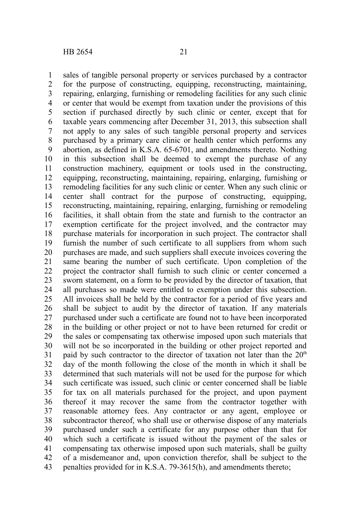sales of tangible personal property or services purchased by a contractor for the purpose of constructing, equipping, reconstructing, maintaining, repairing, enlarging, furnishing or remodeling facilities for any such clinic or center that would be exempt from taxation under the provisions of this section if purchased directly by such clinic or center, except that for taxable years commencing after December 31, 2013, this subsection shall not apply to any sales of such tangible personal property and services purchased by a primary care clinic or health center which performs any abortion, as defined in K.S.A. 65-6701, and amendments thereto. Nothing in this subsection shall be deemed to exempt the purchase of any construction machinery, equipment or tools used in the constructing, equipping, reconstructing, maintaining, repairing, enlarging, furnishing or remodeling facilities for any such clinic or center. When any such clinic or center shall contract for the purpose of constructing, equipping, reconstructing, maintaining, repairing, enlarging, furnishing or remodeling facilities, it shall obtain from the state and furnish to the contractor an exemption certificate for the project involved, and the contractor may purchase materials for incorporation in such project. The contractor shall furnish the number of such certificate to all suppliers from whom such purchases are made, and such suppliers shall execute invoices covering the same bearing the number of such certificate. Upon completion of the project the contractor shall furnish to such clinic or center concerned a sworn statement, on a form to be provided by the director of taxation, that all purchases so made were entitled to exemption under this subsection. All invoices shall be held by the contractor for a period of five years and shall be subject to audit by the director of taxation. If any materials purchased under such a certificate are found not to have been incorporated in the building or other project or not to have been returned for credit or the sales or compensating tax otherwise imposed upon such materials that will not be so incorporated in the building or other project reported and paid by such contractor to the director of taxation not later than the  $20<sup>th</sup>$ day of the month following the close of the month in which it shall be determined that such materials will not be used for the purpose for which such certificate was issued, such clinic or center concerned shall be liable for tax on all materials purchased for the project, and upon payment thereof it may recover the same from the contractor together with reasonable attorney fees. Any contractor or any agent, employee or subcontractor thereof, who shall use or otherwise dispose of any materials purchased under such a certificate for any purpose other than that for which such a certificate is issued without the payment of the sales or compensating tax otherwise imposed upon such materials, shall be guilty of a misdemeanor and, upon conviction therefor, shall be subject to the penalties provided for in K.S.A. 79-3615(h), and amendments thereto; 1 2 3 4 5 6 7 8 9 10 11 12 13 14 15 16 17 18 19 20 21 22 23 24 25 26 27 28 29 30 31 32 33 34 35 36 37 38 39 40 41 42 43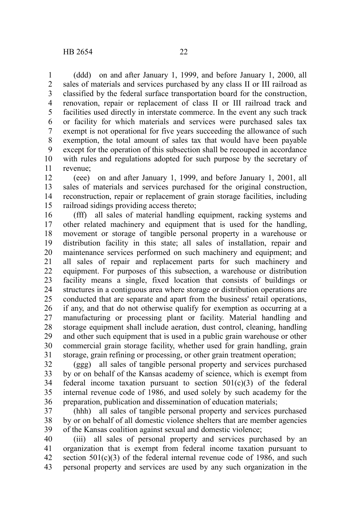(ddd) on and after January 1, 1999, and before January 1, 2000, all sales of materials and services purchased by any class II or III railroad as classified by the federal surface transportation board for the construction, renovation, repair or replacement of class II or III railroad track and facilities used directly in interstate commerce. In the event any such track or facility for which materials and services were purchased sales tax exempt is not operational for five years succeeding the allowance of such exemption, the total amount of sales tax that would have been payable except for the operation of this subsection shall be recouped in accordance with rules and regulations adopted for such purpose by the secretary of revenue; 1 2 3 4 5 6 7 8 9 10 11

(eee) on and after January 1, 1999, and before January 1, 2001, all sales of materials and services purchased for the original construction, reconstruction, repair or replacement of grain storage facilities, including railroad sidings providing access thereto; 12 13 14 15

(fff) all sales of material handling equipment, racking systems and other related machinery and equipment that is used for the handling, movement or storage of tangible personal property in a warehouse or distribution facility in this state; all sales of installation, repair and maintenance services performed on such machinery and equipment; and all sales of repair and replacement parts for such machinery and equipment. For purposes of this subsection, a warehouse or distribution facility means a single, fixed location that consists of buildings or structures in a contiguous area where storage or distribution operations are conducted that are separate and apart from the business' retail operations, if any, and that do not otherwise qualify for exemption as occurring at a manufacturing or processing plant or facility. Material handling and storage equipment shall include aeration, dust control, cleaning, handling and other such equipment that is used in a public grain warehouse or other commercial grain storage facility, whether used for grain handling, grain storage, grain refining or processing, or other grain treatment operation; 16 17 18 19 20 21 22 23 24 25 26 27 28 29 30 31

(ggg) all sales of tangible personal property and services purchased by or on behalf of the Kansas academy of science, which is exempt from federal income taxation pursuant to section  $501(c)(3)$  of the federal internal revenue code of 1986, and used solely by such academy for the preparation, publication and dissemination of education materials; 32 33 34 35 36

(hhh) all sales of tangible personal property and services purchased by or on behalf of all domestic violence shelters that are member agencies of the Kansas coalition against sexual and domestic violence; 37 38 39

(iii) all sales of personal property and services purchased by an organization that is exempt from federal income taxation pursuant to section  $501(c)(3)$  of the federal internal revenue code of 1986, and such personal property and services are used by any such organization in the 40 41 42 43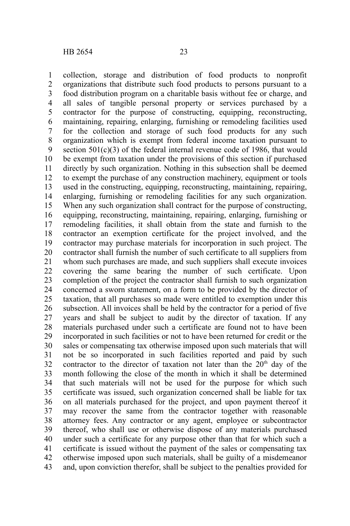collection, storage and distribution of food products to nonprofit organizations that distribute such food products to persons pursuant to a food distribution program on a charitable basis without fee or charge, and all sales of tangible personal property or services purchased by a contractor for the purpose of constructing, equipping, reconstructing, maintaining, repairing, enlarging, furnishing or remodeling facilities used for the collection and storage of such food products for any such organization which is exempt from federal income taxation pursuant to section  $501(c)(3)$  of the federal internal revenue code of 1986, that would be exempt from taxation under the provisions of this section if purchased directly by such organization. Nothing in this subsection shall be deemed to exempt the purchase of any construction machinery, equipment or tools used in the constructing, equipping, reconstructing, maintaining, repairing, enlarging, furnishing or remodeling facilities for any such organization. When any such organization shall contract for the purpose of constructing, equipping, reconstructing, maintaining, repairing, enlarging, furnishing or remodeling facilities, it shall obtain from the state and furnish to the contractor an exemption certificate for the project involved, and the contractor may purchase materials for incorporation in such project. The contractor shall furnish the number of such certificate to all suppliers from whom such purchases are made, and such suppliers shall execute invoices covering the same bearing the number of such certificate. Upon completion of the project the contractor shall furnish to such organization concerned a sworn statement, on a form to be provided by the director of taxation, that all purchases so made were entitled to exemption under this subsection. All invoices shall be held by the contractor for a period of five years and shall be subject to audit by the director of taxation. If any materials purchased under such a certificate are found not to have been incorporated in such facilities or not to have been returned for credit or the sales or compensating tax otherwise imposed upon such materials that will not be so incorporated in such facilities reported and paid by such contractor to the director of taxation not later than the  $20<sup>th</sup>$  day of the month following the close of the month in which it shall be determined that such materials will not be used for the purpose for which such certificate was issued, such organization concerned shall be liable for tax on all materials purchased for the project, and upon payment thereof it may recover the same from the contractor together with reasonable attorney fees. Any contractor or any agent, employee or subcontractor thereof, who shall use or otherwise dispose of any materials purchased under such a certificate for any purpose other than that for which such a certificate is issued without the payment of the sales or compensating tax otherwise imposed upon such materials, shall be guilty of a misdemeanor and, upon conviction therefor, shall be subject to the penalties provided for 1 2 3 4 5 6 7 8 9 10 11 12 13 14 15 16 17 18 19 20 21 22 23 24 25 26 27 28 29 30 31 32 33 34 35 36 37 38 39 40 41 42 43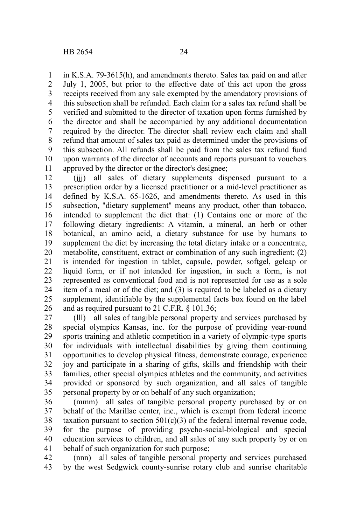in K.S.A. 79-3615(h), and amendments thereto. Sales tax paid on and after July 1, 2005, but prior to the effective date of this act upon the gross receipts received from any sale exempted by the amendatory provisions of this subsection shall be refunded. Each claim for a sales tax refund shall be verified and submitted to the director of taxation upon forms furnished by the director and shall be accompanied by any additional documentation required by the director. The director shall review each claim and shall refund that amount of sales tax paid as determined under the provisions of this subsection. All refunds shall be paid from the sales tax refund fund upon warrants of the director of accounts and reports pursuant to vouchers approved by the director or the director's designee; 1 2 3 4 5 6 7 8 9 10 11

(jjj) all sales of dietary supplements dispensed pursuant to a prescription order by a licensed practitioner or a mid-level practitioner as defined by K.S.A. 65-1626, and amendments thereto. As used in this subsection, "dietary supplement" means any product, other than tobacco, intended to supplement the diet that: (1) Contains one or more of the following dietary ingredients: A vitamin, a mineral, an herb or other botanical, an amino acid, a dietary substance for use by humans to supplement the diet by increasing the total dietary intake or a concentrate, metabolite, constituent, extract or combination of any such ingredient; (2) is intended for ingestion in tablet, capsule, powder, softgel, gelcap or liquid form, or if not intended for ingestion, in such a form, is not represented as conventional food and is not represented for use as a sole item of a meal or of the diet; and (3) is required to be labeled as a dietary supplement, identifiable by the supplemental facts box found on the label and as required pursuant to 21 C.F.R. § 101.36; 12 13 14 15 16 17 18 19 20 21 22 23 24 25 26

(lll) all sales of tangible personal property and services purchased by special olympics Kansas, inc. for the purpose of providing year-round sports training and athletic competition in a variety of olympic-type sports for individuals with intellectual disabilities by giving them continuing opportunities to develop physical fitness, demonstrate courage, experience joy and participate in a sharing of gifts, skills and friendship with their families, other special olympics athletes and the community, and activities provided or sponsored by such organization, and all sales of tangible personal property by or on behalf of any such organization; 27 28 29 30 31 32 33 34 35

(mmm) all sales of tangible personal property purchased by or on behalf of the Marillac center, inc., which is exempt from federal income taxation pursuant to section  $501(c)(3)$  of the federal internal revenue code, for the purpose of providing psycho-social-biological and special education services to children, and all sales of any such property by or on behalf of such organization for such purpose; 36 37 38 39 40 41

(nnn) all sales of tangible personal property and services purchased by the west Sedgwick county-sunrise rotary club and sunrise charitable 42 43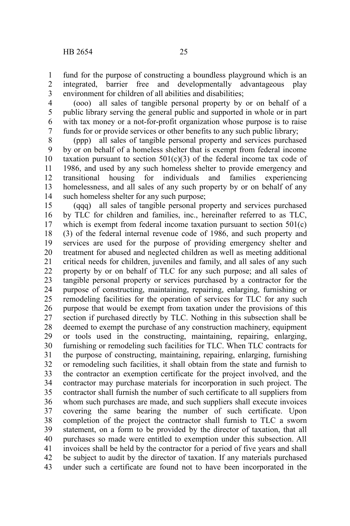fund for the purpose of constructing a boundless playground which is an integrated, barrier free and developmentally advantageous play environment for children of all abilities and disabilities; 1 2 3

(ooo) all sales of tangible personal property by or on behalf of a public library serving the general public and supported in whole or in part with tax money or a not-for-profit organization whose purpose is to raise funds for or provide services or other benefits to any such public library; 4 5 6 7

(ppp) all sales of tangible personal property and services purchased by or on behalf of a homeless shelter that is exempt from federal income taxation pursuant to section  $501(c)(3)$  of the federal income tax code of 1986, and used by any such homeless shelter to provide emergency and transitional housing for individuals and families experiencing homelessness, and all sales of any such property by or on behalf of any such homeless shelter for any such purpose; 8 9 10 11 12 13 14

(qqq) all sales of tangible personal property and services purchased by TLC for children and families, inc., hereinafter referred to as TLC, which is exempt from federal income taxation pursuant to section 501(c) (3) of the federal internal revenue code of 1986, and such property and services are used for the purpose of providing emergency shelter and treatment for abused and neglected children as well as meeting additional critical needs for children, juveniles and family, and all sales of any such property by or on behalf of TLC for any such purpose; and all sales of tangible personal property or services purchased by a contractor for the purpose of constructing, maintaining, repairing, enlarging, furnishing or remodeling facilities for the operation of services for TLC for any such purpose that would be exempt from taxation under the provisions of this section if purchased directly by TLC. Nothing in this subsection shall be deemed to exempt the purchase of any construction machinery, equipment or tools used in the constructing, maintaining, repairing, enlarging, furnishing or remodeling such facilities for TLC. When TLC contracts for the purpose of constructing, maintaining, repairing, enlarging, furnishing or remodeling such facilities, it shall obtain from the state and furnish to the contractor an exemption certificate for the project involved, and the contractor may purchase materials for incorporation in such project. The contractor shall furnish the number of such certificate to all suppliers from whom such purchases are made, and such suppliers shall execute invoices covering the same bearing the number of such certificate. Upon completion of the project the contractor shall furnish to TLC a sworn statement, on a form to be provided by the director of taxation, that all purchases so made were entitled to exemption under this subsection. All invoices shall be held by the contractor for a period of five years and shall be subject to audit by the director of taxation. If any materials purchased under such a certificate are found not to have been incorporated in the 15 16 17 18 19 20 21 22 23 24 25 26 27 28 29 30 31 32 33 34 35 36 37 38 39 40 41 42 43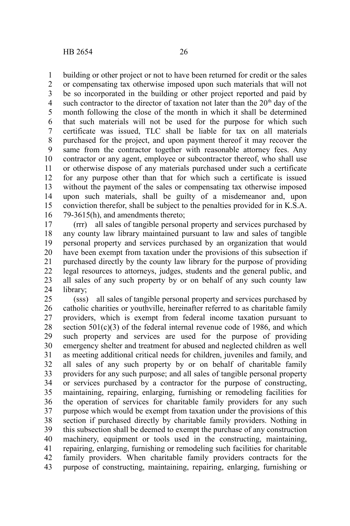building or other project or not to have been returned for credit or the sales 1

or compensating tax otherwise imposed upon such materials that will not be so incorporated in the building or other project reported and paid by such contractor to the director of taxation not later than the  $20<sup>th</sup>$  day of the month following the close of the month in which it shall be determined that such materials will not be used for the purpose for which such certificate was issued, TLC shall be liable for tax on all materials purchased for the project, and upon payment thereof it may recover the same from the contractor together with reasonable attorney fees. Any contractor or any agent, employee or subcontractor thereof, who shall use or otherwise dispose of any materials purchased under such a certificate for any purpose other than that for which such a certificate is issued without the payment of the sales or compensating tax otherwise imposed upon such materials, shall be guilty of a misdemeanor and, upon conviction therefor, shall be subject to the penalties provided for in K.S.A. 79-3615(h), and amendments thereto; 2 3 4 5 6 7 8 9 10 11 12 13 14 15 16

(rrr) all sales of tangible personal property and services purchased by any county law library maintained pursuant to law and sales of tangible personal property and services purchased by an organization that would have been exempt from taxation under the provisions of this subsection if purchased directly by the county law library for the purpose of providing legal resources to attorneys, judges, students and the general public, and all sales of any such property by or on behalf of any such county law library; 17 18 19 20 21 22 23 24

(sss) all sales of tangible personal property and services purchased by catholic charities or youthville, hereinafter referred to as charitable family providers, which is exempt from federal income taxation pursuant to section 501(c)(3) of the federal internal revenue code of 1986, and which such property and services are used for the purpose of providing emergency shelter and treatment for abused and neglected children as well as meeting additional critical needs for children, juveniles and family, and all sales of any such property by or on behalf of charitable family providers for any such purpose; and all sales of tangible personal property or services purchased by a contractor for the purpose of constructing, maintaining, repairing, enlarging, furnishing or remodeling facilities for the operation of services for charitable family providers for any such purpose which would be exempt from taxation under the provisions of this section if purchased directly by charitable family providers. Nothing in this subsection shall be deemed to exempt the purchase of any construction machinery, equipment or tools used in the constructing, maintaining, repairing, enlarging, furnishing or remodeling such facilities for charitable family providers. When charitable family providers contracts for the purpose of constructing, maintaining, repairing, enlarging, furnishing or 25 26 27 28 29 30 31 32 33 34 35 36 37 38 39 40 41 42 43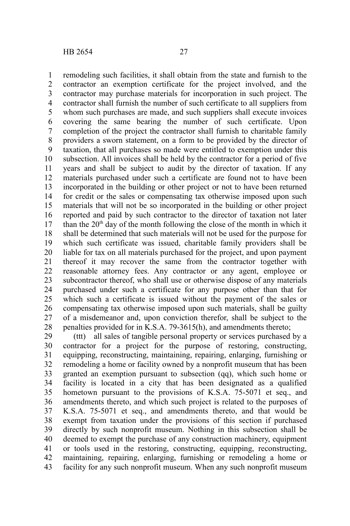remodeling such facilities, it shall obtain from the state and furnish to the contractor an exemption certificate for the project involved, and the contractor may purchase materials for incorporation in such project. The contractor shall furnish the number of such certificate to all suppliers from whom such purchases are made, and such suppliers shall execute invoices covering the same bearing the number of such certificate. Upon completion of the project the contractor shall furnish to charitable family providers a sworn statement, on a form to be provided by the director of taxation, that all purchases so made were entitled to exemption under this subsection. All invoices shall be held by the contractor for a period of five years and shall be subject to audit by the director of taxation. If any materials purchased under such a certificate are found not to have been incorporated in the building or other project or not to have been returned for credit or the sales or compensating tax otherwise imposed upon such materials that will not be so incorporated in the building or other project reported and paid by such contractor to the director of taxation not later than the  $20<sup>th</sup>$  day of the month following the close of the month in which it shall be determined that such materials will not be used for the purpose for which such certificate was issued, charitable family providers shall be liable for tax on all materials purchased for the project, and upon payment thereof it may recover the same from the contractor together with reasonable attorney fees. Any contractor or any agent, employee or subcontractor thereof, who shall use or otherwise dispose of any materials purchased under such a certificate for any purpose other than that for which such a certificate is issued without the payment of the sales or compensating tax otherwise imposed upon such materials, shall be guilty of a misdemeanor and, upon conviction therefor, shall be subject to the penalties provided for in K.S.A. 79-3615(h), and amendments thereto; 1 2 3 4 5 6 7 8 9 10 11 12 13 14 15 16 17 18 19 20 21 22 23 24 25 26 27 28

(ttt) all sales of tangible personal property or services purchased by a contractor for a project for the purpose of restoring, constructing, equipping, reconstructing, maintaining, repairing, enlarging, furnishing or remodeling a home or facility owned by a nonprofit museum that has been granted an exemption pursuant to subsection (qq), which such home or facility is located in a city that has been designated as a qualified hometown pursuant to the provisions of K.S.A. 75-5071 et seq., and amendments thereto, and which such project is related to the purposes of K.S.A. 75-5071 et seq., and amendments thereto, and that would be exempt from taxation under the provisions of this section if purchased directly by such nonprofit museum. Nothing in this subsection shall be deemed to exempt the purchase of any construction machinery, equipment or tools used in the restoring, constructing, equipping, reconstructing, maintaining, repairing, enlarging, furnishing or remodeling a home or facility for any such nonprofit museum. When any such nonprofit museum 29 30 31 32 33 34 35 36 37 38 39 40 41 42 43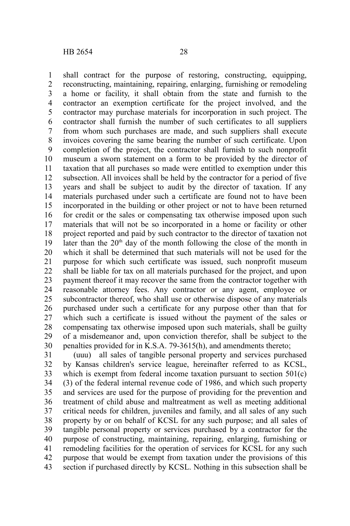shall contract for the purpose of restoring, constructing, equipping, reconstructing, maintaining, repairing, enlarging, furnishing or remodeling a home or facility, it shall obtain from the state and furnish to the contractor an exemption certificate for the project involved, and the contractor may purchase materials for incorporation in such project. The contractor shall furnish the number of such certificates to all suppliers from whom such purchases are made, and such suppliers shall execute invoices covering the same bearing the number of such certificate. Upon completion of the project, the contractor shall furnish to such nonprofit museum a sworn statement on a form to be provided by the director of taxation that all purchases so made were entitled to exemption under this subsection. All invoices shall be held by the contractor for a period of five years and shall be subject to audit by the director of taxation. If any materials purchased under such a certificate are found not to have been incorporated in the building or other project or not to have been returned for credit or the sales or compensating tax otherwise imposed upon such materials that will not be so incorporated in a home or facility or other project reported and paid by such contractor to the director of taxation not later than the  $20<sup>th</sup>$  day of the month following the close of the month in which it shall be determined that such materials will not be used for the purpose for which such certificate was issued, such nonprofit museum shall be liable for tax on all materials purchased for the project, and upon payment thereof it may recover the same from the contractor together with reasonable attorney fees. Any contractor or any agent, employee or subcontractor thereof, who shall use or otherwise dispose of any materials purchased under such a certificate for any purpose other than that for 1 2 3 4 5 6 7 8 9 10 11 12 13 14 15 16 17 18 19 20 21 22 23 24 25

which such a certificate is issued without the payment of the sales or compensating tax otherwise imposed upon such materials, shall be guilty of a misdemeanor and, upon conviction therefor, shall be subject to the penalties provided for in K.S.A. 79-3615(h), and amendments thereto; 26 27 28 29 30

(uuu) all sales of tangible personal property and services purchased by Kansas children's service league, hereinafter referred to as KCSL, which is exempt from federal income taxation pursuant to section 501(c) (3) of the federal internal revenue code of 1986, and which such property and services are used for the purpose of providing for the prevention and treatment of child abuse and maltreatment as well as meeting additional critical needs for children, juveniles and family, and all sales of any such property by or on behalf of KCSL for any such purpose; and all sales of tangible personal property or services purchased by a contractor for the purpose of constructing, maintaining, repairing, enlarging, furnishing or remodeling facilities for the operation of services for KCSL for any such purpose that would be exempt from taxation under the provisions of this section if purchased directly by KCSL. Nothing in this subsection shall be 31 32 33 34 35 36 37 38 39 40 41 42 43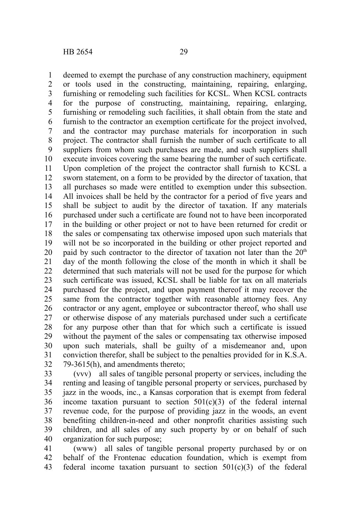deemed to exempt the purchase of any construction machinery, equipment or tools used in the constructing, maintaining, repairing, enlarging, furnishing or remodeling such facilities for KCSL. When KCSL contracts for the purpose of constructing, maintaining, repairing, enlarging, furnishing or remodeling such facilities, it shall obtain from the state and furnish to the contractor an exemption certificate for the project involved, and the contractor may purchase materials for incorporation in such project. The contractor shall furnish the number of such certificate to all suppliers from whom such purchases are made, and such suppliers shall execute invoices covering the same bearing the number of such certificate. Upon completion of the project the contractor shall furnish to KCSL a sworn statement, on a form to be provided by the director of taxation, that all purchases so made were entitled to exemption under this subsection. All invoices shall be held by the contractor for a period of five years and shall be subject to audit by the director of taxation. If any materials purchased under such a certificate are found not to have been incorporated in the building or other project or not to have been returned for credit or the sales or compensating tax otherwise imposed upon such materials that will not be so incorporated in the building or other project reported and paid by such contractor to the director of taxation not later than the  $20<sup>th</sup>$ day of the month following the close of the month in which it shall be determined that such materials will not be used for the purpose for which such certificate was issued, KCSL shall be liable for tax on all materials purchased for the project, and upon payment thereof it may recover the same from the contractor together with reasonable attorney fees. Any contractor or any agent, employee or subcontractor thereof, who shall use or otherwise dispose of any materials purchased under such a certificate for any purpose other than that for which such a certificate is issued without the payment of the sales or compensating tax otherwise imposed upon such materials, shall be guilty of a misdemeanor and, upon conviction therefor, shall be subject to the penalties provided for in K.S.A. 79-3615(h), and amendments thereto; 1 2 3 4 5 6 7 8 9 10 11 12 13 14 15 16 17 18 19 20 21 22 23 24 25 26 27 28 29 30 31 32

(vvv) all sales of tangible personal property or services, including the renting and leasing of tangible personal property or services, purchased by jazz in the woods, inc., a Kansas corporation that is exempt from federal income taxation pursuant to section  $501(c)(3)$  of the federal internal revenue code, for the purpose of providing jazz in the woods, an event benefiting children-in-need and other nonprofit charities assisting such children, and all sales of any such property by or on behalf of such organization for such purpose; 33 34 35 36 37 38 39 40

(www) all sales of tangible personal property purchased by or on behalf of the Frontenac education foundation, which is exempt from federal income taxation pursuant to section 501(c)(3) of the federal 41 42 43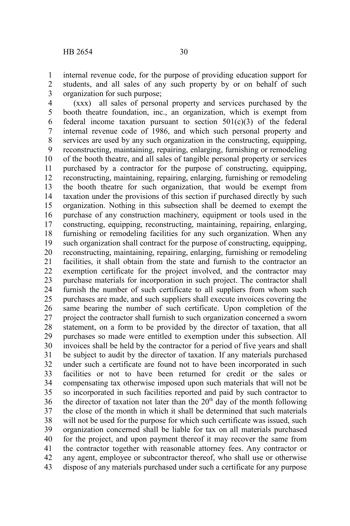internal revenue code, for the purpose of providing education support for students, and all sales of any such property by or on behalf of such organization for such purpose; 1 2 3

(xxx) all sales of personal property and services purchased by the booth theatre foundation, inc., an organization, which is exempt from federal income taxation pursuant to section  $501(c)(3)$  of the federal internal revenue code of 1986, and which such personal property and services are used by any such organization in the constructing, equipping, reconstructing, maintaining, repairing, enlarging, furnishing or remodeling of the booth theatre, and all sales of tangible personal property or services purchased by a contractor for the purpose of constructing, equipping, reconstructing, maintaining, repairing, enlarging, furnishing or remodeling the booth theatre for such organization, that would be exempt from taxation under the provisions of this section if purchased directly by such organization. Nothing in this subsection shall be deemed to exempt the purchase of any construction machinery, equipment or tools used in the constructing, equipping, reconstructing, maintaining, repairing, enlarging, furnishing or remodeling facilities for any such organization. When any such organization shall contract for the purpose of constructing, equipping, reconstructing, maintaining, repairing, enlarging, furnishing or remodeling facilities, it shall obtain from the state and furnish to the contractor an exemption certificate for the project involved, and the contractor may purchase materials for incorporation in such project. The contractor shall furnish the number of such certificate to all suppliers from whom such purchases are made, and such suppliers shall execute invoices covering the same bearing the number of such certificate. Upon completion of the project the contractor shall furnish to such organization concerned a sworn statement, on a form to be provided by the director of taxation, that all purchases so made were entitled to exemption under this subsection. All invoices shall be held by the contractor for a period of five years and shall be subject to audit by the director of taxation. If any materials purchased under such a certificate are found not to have been incorporated in such facilities or not to have been returned for credit or the sales or compensating tax otherwise imposed upon such materials that will not be so incorporated in such facilities reported and paid by such contractor to the director of taxation not later than the  $20<sup>th</sup>$  day of the month following the close of the month in which it shall be determined that such materials will not be used for the purpose for which such certificate was issued, such organization concerned shall be liable for tax on all materials purchased for the project, and upon payment thereof it may recover the same from the contractor together with reasonable attorney fees. Any contractor or any agent, employee or subcontractor thereof, who shall use or otherwise dispose of any materials purchased under such a certificate for any purpose 4 5 6 7 8 9 10 11 12 13 14 15 16 17 18 19 20 21 22 23 24 25 26 27 28 29 30 31 32 33 34 35 36 37 38 39 40 41 42 43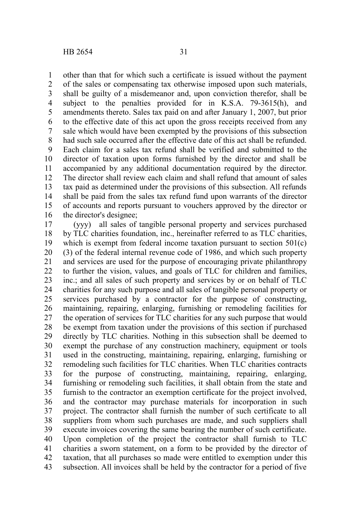other than that for which such a certificate is issued without the payment of the sales or compensating tax otherwise imposed upon such materials, shall be guilty of a misdemeanor and, upon conviction therefor, shall be subject to the penalties provided for in K.S.A. 79-3615(h), and amendments thereto. Sales tax paid on and after January 1, 2007, but prior to the effective date of this act upon the gross receipts received from any sale which would have been exempted by the provisions of this subsection had such sale occurred after the effective date of this act shall be refunded. Each claim for a sales tax refund shall be verified and submitted to the director of taxation upon forms furnished by the director and shall be accompanied by any additional documentation required by the director. The director shall review each claim and shall refund that amount of sales tax paid as determined under the provisions of this subsection. All refunds shall be paid from the sales tax refund fund upon warrants of the director of accounts and reports pursuant to vouchers approved by the director or the director's designee; 1 2 3 4 5 6 7 8 9 10 11 12 13 14 15 16

(yyy) all sales of tangible personal property and services purchased by TLC charities foundation, inc., hereinafter referred to as TLC charities, which is exempt from federal income taxation pursuant to section 501(c) (3) of the federal internal revenue code of 1986, and which such property and services are used for the purpose of encouraging private philanthropy to further the vision, values, and goals of TLC for children and families, inc.; and all sales of such property and services by or on behalf of TLC charities for any such purpose and all sales of tangible personal property or services purchased by a contractor for the purpose of constructing, maintaining, repairing, enlarging, furnishing or remodeling facilities for the operation of services for TLC charities for any such purpose that would be exempt from taxation under the provisions of this section if purchased directly by TLC charities. Nothing in this subsection shall be deemed to exempt the purchase of any construction machinery, equipment or tools used in the constructing, maintaining, repairing, enlarging, furnishing or remodeling such facilities for TLC charities. When TLC charities contracts for the purpose of constructing, maintaining, repairing, enlarging, furnishing or remodeling such facilities, it shall obtain from the state and furnish to the contractor an exemption certificate for the project involved, and the contractor may purchase materials for incorporation in such project. The contractor shall furnish the number of such certificate to all suppliers from whom such purchases are made, and such suppliers shall execute invoices covering the same bearing the number of such certificate. Upon completion of the project the contractor shall furnish to TLC charities a sworn statement, on a form to be provided by the director of taxation, that all purchases so made were entitled to exemption under this subsection. All invoices shall be held by the contractor for a period of five 17 18 19 20 21 22 23 24 25 26 27 28 29 30 31 32 33 34 35 36 37 38 39 40 41 42 43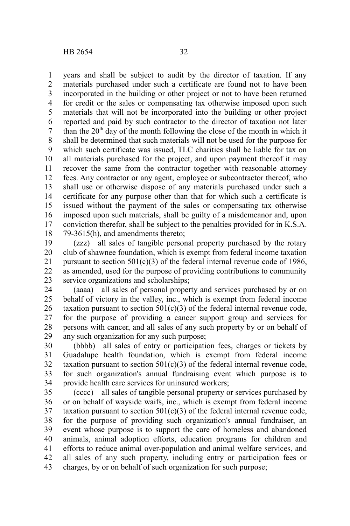years and shall be subject to audit by the director of taxation. If any materials purchased under such a certificate are found not to have been incorporated in the building or other project or not to have been returned for credit or the sales or compensating tax otherwise imposed upon such materials that will not be incorporated into the building or other project reported and paid by such contractor to the director of taxation not later than the  $20<sup>th</sup>$  day of the month following the close of the month in which it shall be determined that such materials will not be used for the purpose for which such certificate was issued, TLC charities shall be liable for tax on all materials purchased for the project, and upon payment thereof it may recover the same from the contractor together with reasonable attorney fees. Any contractor or any agent, employee or subcontractor thereof, who shall use or otherwise dispose of any materials purchased under such a certificate for any purpose other than that for which such a certificate is issued without the payment of the sales or compensating tax otherwise imposed upon such materials, shall be guilty of a misdemeanor and, upon conviction therefor, shall be subject to the penalties provided for in K.S.A. 79-3615(h), and amendments thereto; 1 2 3 4 5 6 7 8 9 10 11 12 13 14 15 16 17 18

(zzz) all sales of tangible personal property purchased by the rotary club of shawnee foundation, which is exempt from federal income taxation pursuant to section  $501(c)(3)$  of the federal internal revenue code of 1986, as amended, used for the purpose of providing contributions to community service organizations and scholarships; 19 20 21 22 23

(aaaa) all sales of personal property and services purchased by or on behalf of victory in the valley, inc., which is exempt from federal income taxation pursuant to section  $501(c)(3)$  of the federal internal revenue code, for the purpose of providing a cancer support group and services for persons with cancer, and all sales of any such property by or on behalf of any such organization for any such purpose; 24 25 26 27 28 29

(bbbb) all sales of entry or participation fees, charges or tickets by Guadalupe health foundation, which is exempt from federal income taxation pursuant to section  $501(c)(3)$  of the federal internal revenue code, for such organization's annual fundraising event which purpose is to provide health care services for uninsured workers; 30 31 32 33 34

(cccc) all sales of tangible personal property or services purchased by or on behalf of wayside waifs, inc., which is exempt from federal income taxation pursuant to section  $501(c)(3)$  of the federal internal revenue code, for the purpose of providing such organization's annual fundraiser, an event whose purpose is to support the care of homeless and abandoned animals, animal adoption efforts, education programs for children and efforts to reduce animal over-population and animal welfare services, and all sales of any such property, including entry or participation fees or charges, by or on behalf of such organization for such purpose; 35 36 37 38 39 40 41 42 43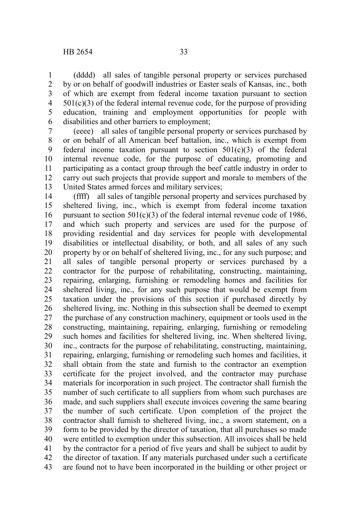(dddd) all sales of tangible personal property or services purchased by or on behalf of goodwill industries or Easter seals of Kansas, inc., both of which are exempt from federal income taxation pursuant to section  $501(c)(3)$  of the federal internal revenue code, for the purpose of providing education, training and employment opportunities for people with disabilities and other barriers to employment; 1 2 3 4 5 6

(eeee) all sales of tangible personal property or services purchased by or on behalf of all American beef battalion, inc., which is exempt from federal income taxation pursuant to section  $501(c)(3)$  of the federal internal revenue code, for the purpose of educating, promoting and participating as a contact group through the beef cattle industry in order to carry out such projects that provide support and morale to members of the United States armed forces and military services; 7 8 9 10 11 12 13

(ffff) all sales of tangible personal property and services purchased by sheltered living, inc., which is exempt from federal income taxation pursuant to section  $501(c)(3)$  of the federal internal revenue code of 1986, and which such property and services are used for the purpose of providing residential and day services for people with developmental disabilities or intellectual disability, or both, and all sales of any such property by or on behalf of sheltered living, inc., for any such purpose; and all sales of tangible personal property or services purchased by a contractor for the purpose of rehabilitating, constructing, maintaining, repairing, enlarging, furnishing or remodeling homes and facilities for sheltered living, inc., for any such purpose that would be exempt from taxation under the provisions of this section if purchased directly by sheltered living, inc. Nothing in this subsection shall be deemed to exempt the purchase of any construction machinery, equipment or tools used in the constructing, maintaining, repairing, enlarging, furnishing or remodeling such homes and facilities for sheltered living, inc. When sheltered living, inc., contracts for the purpose of rehabilitating, constructing, maintaining, repairing, enlarging, furnishing or remodeling such homes and facilities, it shall obtain from the state and furnish to the contractor an exemption certificate for the project involved, and the contractor may purchase materials for incorporation in such project. The contractor shall furnish the number of such certificate to all suppliers from whom such purchases are made, and such suppliers shall execute invoices covering the same bearing the number of such certificate. Upon completion of the project the contractor shall furnish to sheltered living, inc., a sworn statement, on a form to be provided by the director of taxation, that all purchases so made were entitled to exemption under this subsection. All invoices shall be held by the contractor for a period of five years and shall be subject to audit by the director of taxation. If any materials purchased under such a certificate are found not to have been incorporated in the building or other project or 14 15 16 17 18 19 20 21 22 23 24 25 26 27 28 29 30 31 32 33 34 35 36 37 38 39 40 41 42 43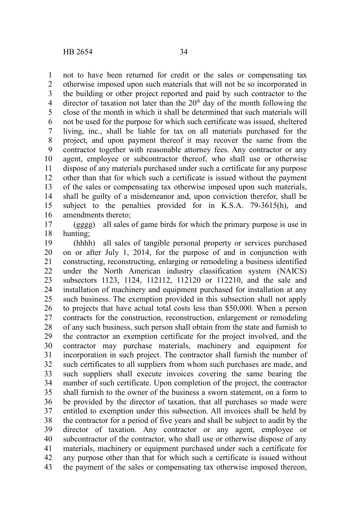not to have been returned for credit or the sales or compensating tax otherwise imposed upon such materials that will not be so incorporated in the building or other project reported and paid by such contractor to the director of taxation not later than the  $20<sup>th</sup>$  day of the month following the close of the month in which it shall be determined that such materials will not be used for the purpose for which such certificate was issued, sheltered living, inc., shall be liable for tax on all materials purchased for the project, and upon payment thereof it may recover the same from the contractor together with reasonable attorney fees. Any contractor or any agent, employee or subcontractor thereof, who shall use or otherwise dispose of any materials purchased under such a certificate for any purpose other than that for which such a certificate is issued without the payment of the sales or compensating tax otherwise imposed upon such materials, shall be guilty of a misdemeanor and, upon conviction therefor, shall be subject to the penalties provided for in K.S.A. 79-3615(h), and amendments thereto; 1 2 3 4 5 6 7 8 9 10 11 12 13 14 15 16

(gggg) all sales of game birds for which the primary purpose is use in hunting; 17 18

(hhhh) all sales of tangible personal property or services purchased on or after July 1, 2014, for the purpose of and in conjunction with constructing, reconstructing, enlarging or remodeling a business identified under the North American industry classification system (NAICS) subsectors 1123, 1124, 112112, 112120 or 112210, and the sale and installation of machinery and equipment purchased for installation at any such business. The exemption provided in this subsection shall not apply to projects that have actual total costs less than \$50,000. When a person contracts for the construction, reconstruction, enlargement or remodeling of any such business, such person shall obtain from the state and furnish to the contractor an exemption certificate for the project involved, and the contractor may purchase materials, machinery and equipment for incorporation in such project. The contractor shall furnish the number of such certificates to all suppliers from whom such purchases are made, and such suppliers shall execute invoices covering the same bearing the number of such certificate. Upon completion of the project, the contractor shall furnish to the owner of the business a sworn statement, on a form to be provided by the director of taxation, that all purchases so made were entitled to exemption under this subsection. All invoices shall be held by the contractor for a period of five years and shall be subject to audit by the director of taxation. Any contractor or any agent, employee or subcontractor of the contractor, who shall use or otherwise dispose of any materials, machinery or equipment purchased under such a certificate for any purpose other than that for which such a certificate is issued without the payment of the sales or compensating tax otherwise imposed thereon, 19 20 21 22 23 24 25 26 27 28 29 30 31 32 33 34 35 36 37 38 39 40 41 42 43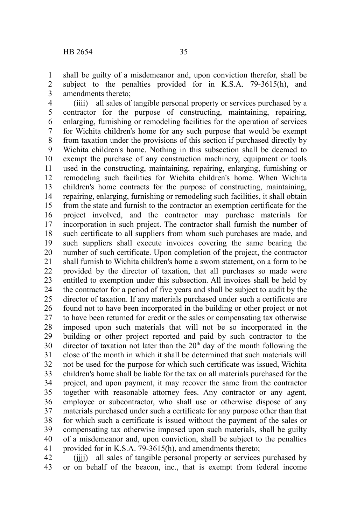shall be guilty of a misdemeanor and, upon conviction therefor, shall be subject to the penalties provided for in K.S.A. 79-3615(h), and amendments thereto; 1 2 3

(iiii) all sales of tangible personal property or services purchased by a contractor for the purpose of constructing, maintaining, repairing, enlarging, furnishing or remodeling facilities for the operation of services for Wichita children's home for any such purpose that would be exempt from taxation under the provisions of this section if purchased directly by Wichita children's home. Nothing in this subsection shall be deemed to exempt the purchase of any construction machinery, equipment or tools used in the constructing, maintaining, repairing, enlarging, furnishing or remodeling such facilities for Wichita children's home. When Wichita children's home contracts for the purpose of constructing, maintaining, repairing, enlarging, furnishing or remodeling such facilities, it shall obtain from the state and furnish to the contractor an exemption certificate for the project involved, and the contractor may purchase materials for incorporation in such project. The contractor shall furnish the number of such certificate to all suppliers from whom such purchases are made, and such suppliers shall execute invoices covering the same bearing the number of such certificate. Upon completion of the project, the contractor shall furnish to Wichita children's home a sworn statement, on a form to be provided by the director of taxation, that all purchases so made were entitled to exemption under this subsection. All invoices shall be held by the contractor for a period of five years and shall be subject to audit by the director of taxation. If any materials purchased under such a certificate are found not to have been incorporated in the building or other project or not to have been returned for credit or the sales or compensating tax otherwise imposed upon such materials that will not be so incorporated in the building or other project reported and paid by such contractor to the director of taxation not later than the  $20<sup>th</sup>$  day of the month following the close of the month in which it shall be determined that such materials will not be used for the purpose for which such certificate was issued, Wichita children's home shall be liable for the tax on all materials purchased for the project, and upon payment, it may recover the same from the contractor together with reasonable attorney fees. Any contractor or any agent, employee or subcontractor, who shall use or otherwise dispose of any materials purchased under such a certificate for any purpose other than that for which such a certificate is issued without the payment of the sales or compensating tax otherwise imposed upon such materials, shall be guilty of a misdemeanor and, upon conviction, shall be subject to the penalties provided for in K.S.A. 79-3615(h), and amendments thereto; 4 5 6 7 8 9 10 11 12 13 14 15 16 17 18 19 20 21 22 23 24 25 26 27 28 29 30 31 32 33 34 35 36 37 38 39 40 41

(jjjj) all sales of tangible personal property or services purchased by or on behalf of the beacon, inc., that is exempt from federal income 42 43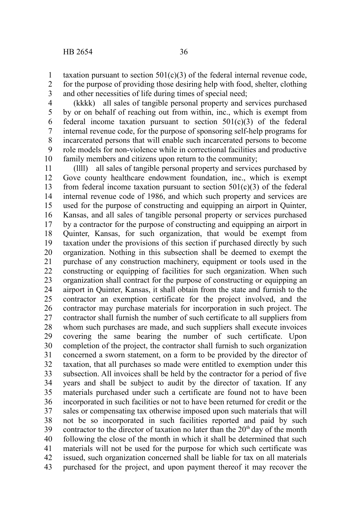taxation pursuant to section  $501(c)(3)$  of the federal internal revenue code, for the purpose of providing those desiring help with food, shelter, clothing and other necessities of life during times of special need; 1 2 3

(kkkk) all sales of tangible personal property and services purchased by or on behalf of reaching out from within, inc., which is exempt from federal income taxation pursuant to section  $501(c)(3)$  of the federal internal revenue code, for the purpose of sponsoring self-help programs for incarcerated persons that will enable such incarcerated persons to become role models for non-violence while in correctional facilities and productive family members and citizens upon return to the community; 4 5 6 7 8 9 10

(llll) all sales of tangible personal property and services purchased by Gove county healthcare endowment foundation, inc., which is exempt from federal income taxation pursuant to section  $501(c)(3)$  of the federal internal revenue code of 1986, and which such property and services are used for the purpose of constructing and equipping an airport in Quinter, Kansas, and all sales of tangible personal property or services purchased by a contractor for the purpose of constructing and equipping an airport in Quinter, Kansas, for such organization, that would be exempt from taxation under the provisions of this section if purchased directly by such organization. Nothing in this subsection shall be deemed to exempt the purchase of any construction machinery, equipment or tools used in the constructing or equipping of facilities for such organization. When such organization shall contract for the purpose of constructing or equipping an airport in Quinter, Kansas, it shall obtain from the state and furnish to the contractor an exemption certificate for the project involved, and the contractor may purchase materials for incorporation in such project. The contractor shall furnish the number of such certificate to all suppliers from whom such purchases are made, and such suppliers shall execute invoices covering the same bearing the number of such certificate. Upon completion of the project, the contractor shall furnish to such organization concerned a sworn statement, on a form to be provided by the director of taxation, that all purchases so made were entitled to exemption under this subsection. All invoices shall be held by the contractor for a period of five years and shall be subject to audit by the director of taxation. If any materials purchased under such a certificate are found not to have been incorporated in such facilities or not to have been returned for credit or the sales or compensating tax otherwise imposed upon such materials that will not be so incorporated in such facilities reported and paid by such contractor to the director of taxation no later than the  $20<sup>th</sup>$  day of the month following the close of the month in which it shall be determined that such materials will not be used for the purpose for which such certificate was issued, such organization concerned shall be liable for tax on all materials purchased for the project, and upon payment thereof it may recover the 11 12 13 14 15 16 17 18 19 20 21 22 23 24 25 26 27 28 29 30 31 32 33 34 35 36 37 38 39 40 41 42 43